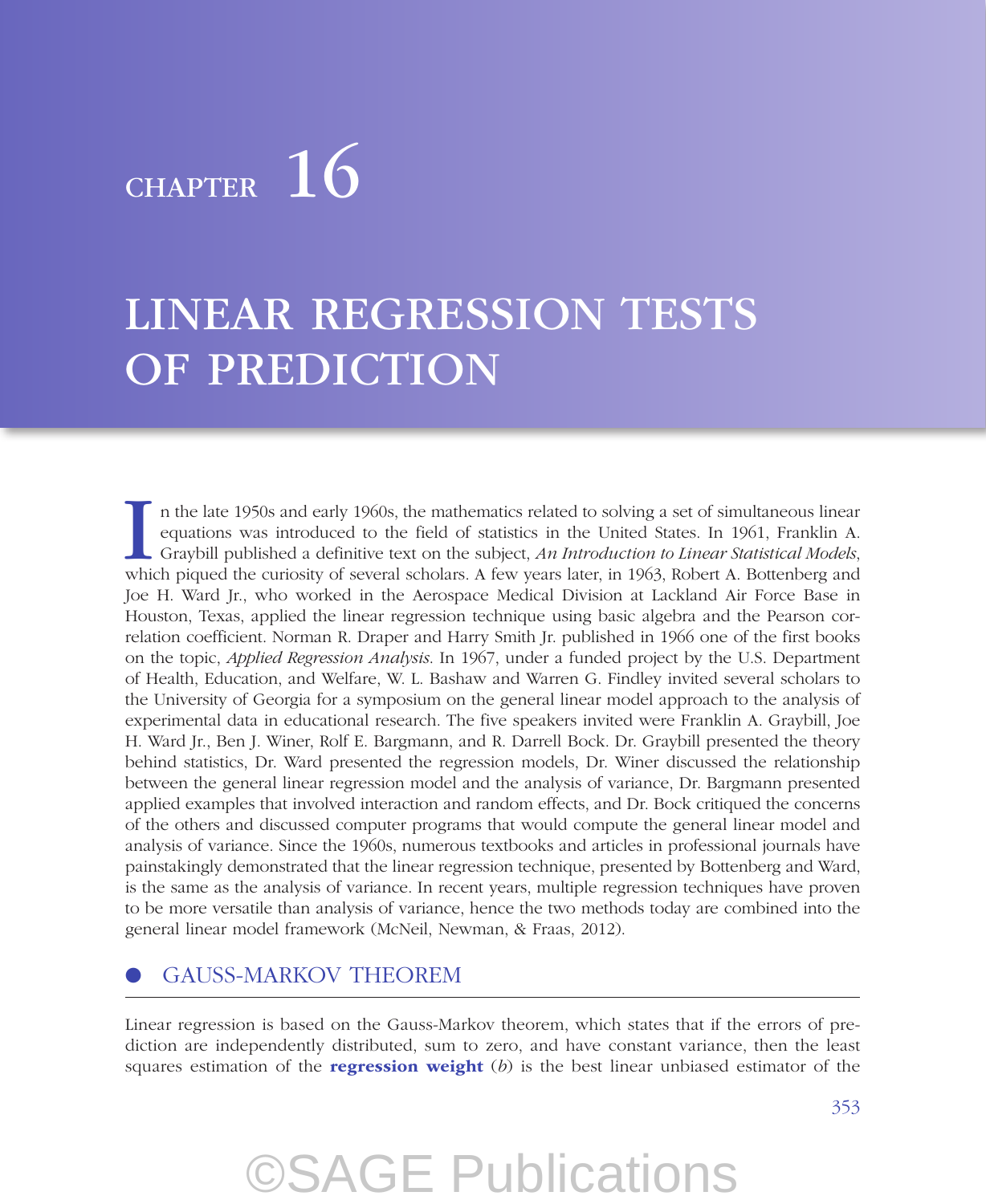# CHAPTER 16

## LINEAR REGRESSION TESTS OF PREDICTION

In the late 1950s and early 1960s, the mathematics related to solving a set of simultaneous linear equations was introduced to the field of statistics in the United States. In 1961, Franklin A. Graybill published a definit n the late 1950s and early 1960s, the mathematics related to solving a set of simultaneous linear equations was introduced to the field of statistics in the United States. In 1961, Franklin A. Graybill published a definitive text on the subject, *An Introduction to Linear Statistical Models*, Joe H. Ward Jr., who worked in the Aerospace Medical Division at Lackland Air Force Base in Houston, Texas, applied the linear regression technique using basic algebra and the Pearson correlation coefficient. Norman R. Draper and Harry Smith Jr. published in 1966 one of the first books on the topic, *Applied Regression Analysis*. In 1967, under a funded project by the U.S. Department of Health, Education, and Welfare, W. L. Bashaw and Warren G. Findley invited several scholars to the University of Georgia for a symposium on the general linear model approach to the analysis of experimental data in educational research. The five speakers invited were Franklin A. Graybill, Joe H. Ward Jr., Ben J. Winer, Rolf E. Bargmann, and R. Darrell Bock. Dr. Graybill presented the theory behind statistics, Dr. Ward presented the regression models, Dr. Winer discussed the relationship between the general linear regression model and the analysis of variance, Dr. Bargmann presented applied examples that involved interaction and random effects, and Dr. Bock critiqued the concerns of the others and discussed computer programs that would compute the general linear model and analysis of variance. Since the 1960s, numerous textbooks and articles in professional journals have painstakingly demonstrated that the linear regression technique, presented by Bottenberg and Ward, is the same as the analysis of variance. In recent years, multiple regression techniques have proven to be more versatile than analysis of variance, hence the two methods today are combined into the general linear model framework (McNeil, Newman, & Fraas, 2012).

### GAUSS-MARKOV THEOREM

Linear regression is based on the Gauss-Markov theorem, which states that if the errors of prediction are independently distributed, sum to zero, and have constant variance, then the least squares estimation of the **regression weight**  $(b)$  is the best linear unbiased estimator of the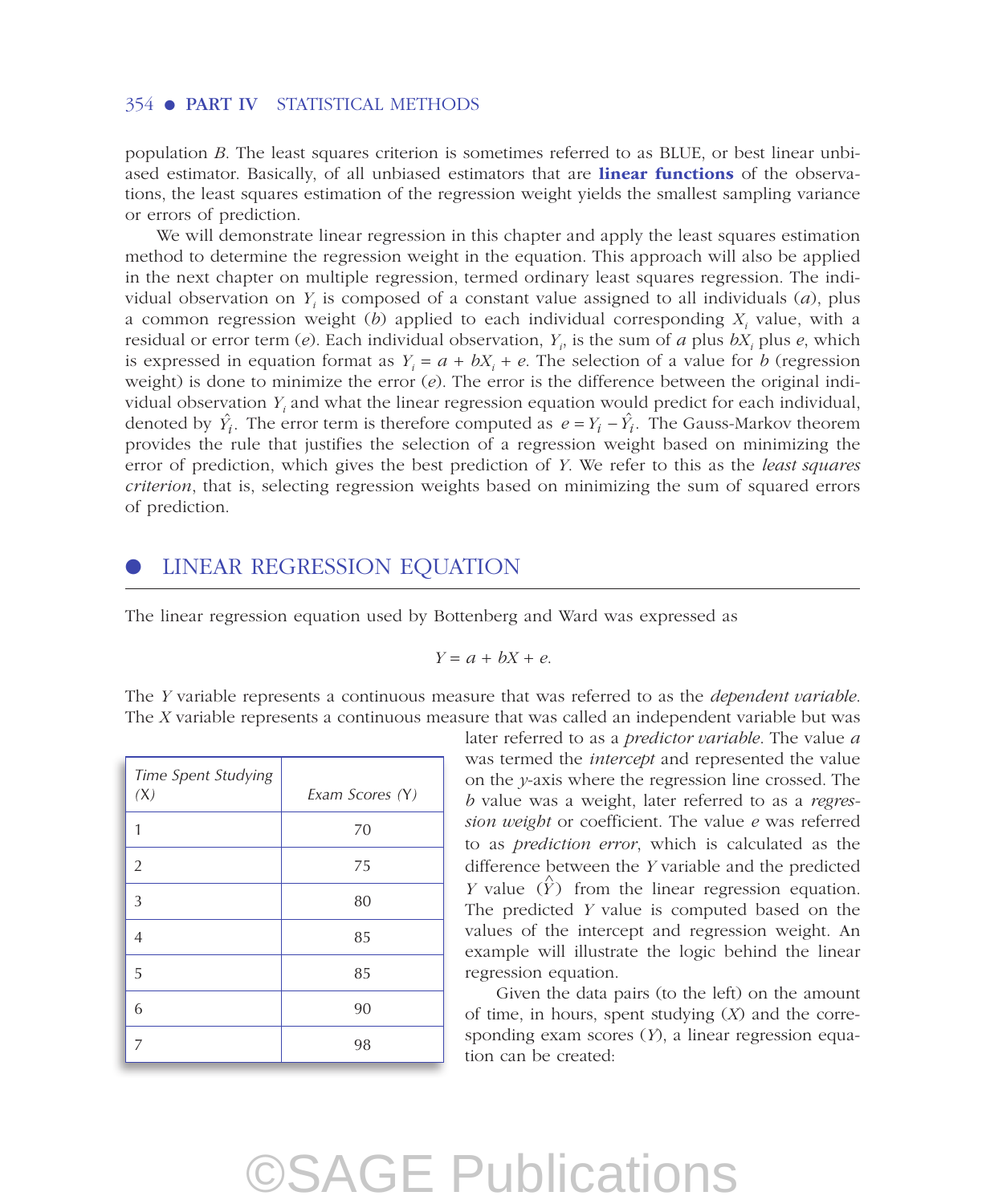population *B*. The least squares criterion is sometimes referred to as BLUE, or best linear unbiased estimator. Basically, of all unbiased estimators that are **linear functions** of the observations, the least squares estimation of the regression weight yields the smallest sampling variance or errors of prediction.

We will demonstrate linear regression in this chapter and apply the least squares estimation method to determine the regression weight in the equation. This approach will also be applied in the next chapter on multiple regression, termed ordinary least squares regression. The individual observation on *Yi* is composed of a constant value assigned to all individuals (*a*), plus a common regression weight  $(b)$  applied to each individual corresponding  $X_i$  value, with a residual or error term  $(e)$ . Each individual observation,  $Y_i$ , is the sum of *a* plus  $bX_i$  plus  $e$ , which is expressed in equation format as  $Y_i = a + bX_i + e$ . The selection of a value for *b* (regression weight) is done to minimize the error (*e*). The error is the difference between the original individual observation *Yi* and what the linear regression equation would predict for each individual, denoted by  $\hat{Y}_i$ . The error term is therefore computed as  $e = Y_i - \hat{Y}_i$ . The Gauss-Markov theorem provides the rule that justifies the selection of a regression weight based on minimizing the error of prediction, which gives the best prediction of *Y*. We refer to this as the *least squares criterion*, that is, selecting regression weights based on minimizing the sum of squared errors of prediction.

#### LINEAR REGRESSION EQUATION

The linear regression equation used by Bottenberg and Ward was expressed as

$$
Y = a + bX + e.
$$

The *Y* variable represents a continuous measure that was referred to as the *dependent variable*. The *X* variable represents a continuous measure that was called an independent variable but was

| Time Spent Studying<br>(X) | Exam Scores (Y) |
|----------------------------|-----------------|
| 1                          | 70              |
| 2                          | 75              |
| 3                          | 80              |
| 4                          | 85              |
| 5                          | 85              |
| 6                          | 90              |
| 7                          | 98              |

later referred to as a *predictor variable*. The value *a* was termed the *intercept* and represented the value on the *y*-axis where the regression line crossed. The *b* value was a weight, later referred to as a *regression weight* or coefficient. The value *e* was referred to as *prediction error*, which is calculated as the difference between the *Y* variable and the predicted *Y* value  $(\hat{Y})$  from the linear regression equation. The predicted *Y* value is computed based on the values of the intercept and regression weight. An example will illustrate the logic behind the linear regression equation.

Given the data pairs (to the left) on the amount of time, in hours, spent studying (*X*) and the corresponding exam scores (*Y*), a linear regression equation can be created: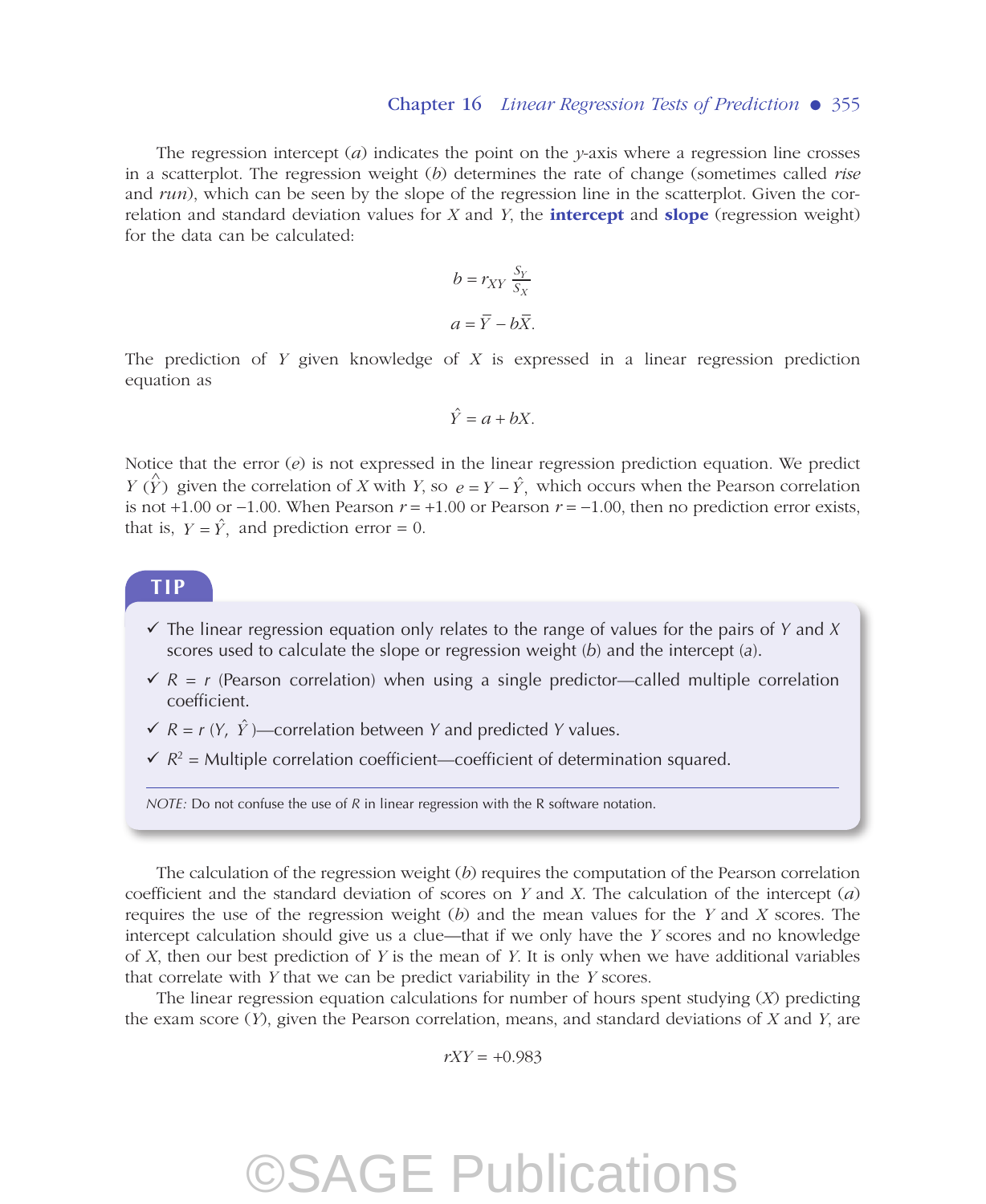The regression intercept (*a*) indicates the point on the *y*-axis where a regression line crosses in a scatterplot. The regression weight (*b*) determines the rate of change (sometimes called *rise* and *run*), which can be seen by the slope of the regression line in the scatterplot. Given the correlation and standard deviation values for *X* and *Y*, the intercept and slope (regression weight) for the data can be calculated:

$$
b = r_{XY} \frac{S_Y}{S_X}
$$

$$
a = \overline{Y} - b\overline{X}.
$$

The prediction of *Y* given knowledge of *X* is expressed in a linear regression prediction equation as

$$
\hat{Y} = a + bX.
$$

Notice that the error (*e*) is not expressed in the linear regression prediction equation. We predict *Y* (*Y*) given the correlation of *X* with *Y*, so  $e = Y - \hat{Y}$ , which occurs when the Pearson correlation is not +1.00 or  $-1.00$ . When Pearson  $r = +1.00$  or Pearson  $r = -1.00$ , then no prediction error exists, that is,  $Y = \hat{Y}$ , and prediction error = 0.

#### **TIP**

- $\checkmark$  The linear regression equation only relates to the range of values for the pairs of *Y* and *X* scores used to calculate the slope or regression weight (*b*) and the intercept (*a*).
- $\leq R = r$  (Pearson correlation) when using a single predictor—called multiple correlation coefficient.
- *★*  $R = r(Y, \hat{Y})$ —correlation between *Y* and predicted *Y* values.
- $\mathcal{R}^2$  = Multiple correlation coefficient—coefficient of determination squared.

*NOTE:* Do not confuse the use of *R* in linear regression with the R software notation.

The calculation of the regression weight (*b*) requires the computation of the Pearson correlation coefficient and the standard deviation of scores on *Y* and *X*. The calculation of the intercept (*a*) requires the use of the regression weight (*b*) and the mean values for the *Y* and *X* scores. The intercept calculation should give us a clue—that if we only have the *Y* scores and no knowledge of *X*, then our best prediction of *Y* is the mean of *Y*. It is only when we have additional variables that correlate with *Y* that we can be predict variability in the *Y* scores.

The linear regression equation calculations for number of hours spent studying (*X*) predicting the exam score (*Y*), given the Pearson correlation, means, and standard deviations of *X* and *Y*, are

 $rXY = +0.983$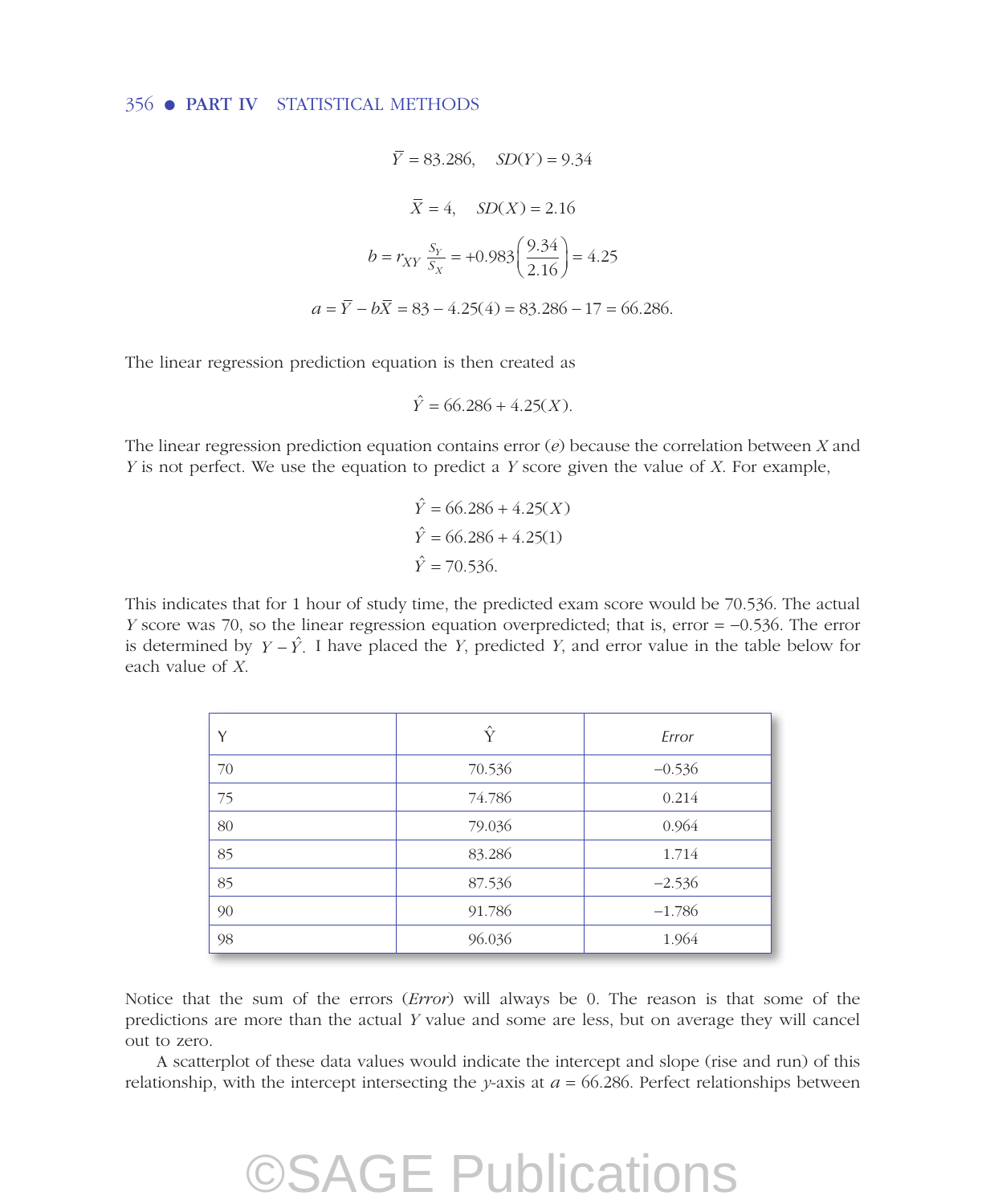$$
\overline{Y} = 83.286, \quad SD(Y) = 9.34
$$

$$
\overline{X} = 4, \quad SD(X) = 2.16
$$

$$
b = r_{XY} \frac{s_Y}{s_X} = +0.983 \left(\frac{9.34}{2.16}\right) = 4.25
$$

$$
a = \overline{Y} - b\overline{X} = 83 - 4.25(4) = 83.286 - 17 = 66.286.
$$

The linear regression prediction equation is then created as

$$
\hat{Y} = 66.286 + 4.25(X).
$$

The linear regression prediction equation contains error (*e*) because the correlation between *X* and *Y* is not perfect. We use the equation to predict a *Y* score given the value of *X*. For example,

$$
\hat{Y} = 66.286 + 4.25(X)
$$
  

$$
\hat{Y} = 66.286 + 4.25(1)
$$
  

$$
\hat{Y} = 70.536.
$$

This indicates that for 1 hour of study time, the predicted exam score would be 70.536. The actual *Y* score was 70, so the linear regression equation overpredicted; that is, error  $= -0.536$ . The error is determined by  $Y - \hat{Y}$ . I have placed the *Y*, predicted *Y*, and error value in the table below for each value of *X*.

| Υ  | Ŷ      | Error    |
|----|--------|----------|
| 70 | 70.536 | $-0.536$ |
| 75 | 74.786 | 0.214    |
| 80 | 79.036 | 0.964    |
| 85 | 83.286 | 1.714    |
| 85 | 87.536 | $-2.536$ |
| 90 | 91.786 | $-1.786$ |
| 98 | 96.036 | 1.964    |

Notice that the sum of the errors (*Error*) will always be 0. The reason is that some of the predictions are more than the actual *Y* value and some are less, but on average they will cancel out to zero.

A scatterplot of these data values would indicate the intercept and slope (rise and run) of this relationship, with the intercept intersecting the *y*-axis at  $a = 66.286$ . Perfect relationships between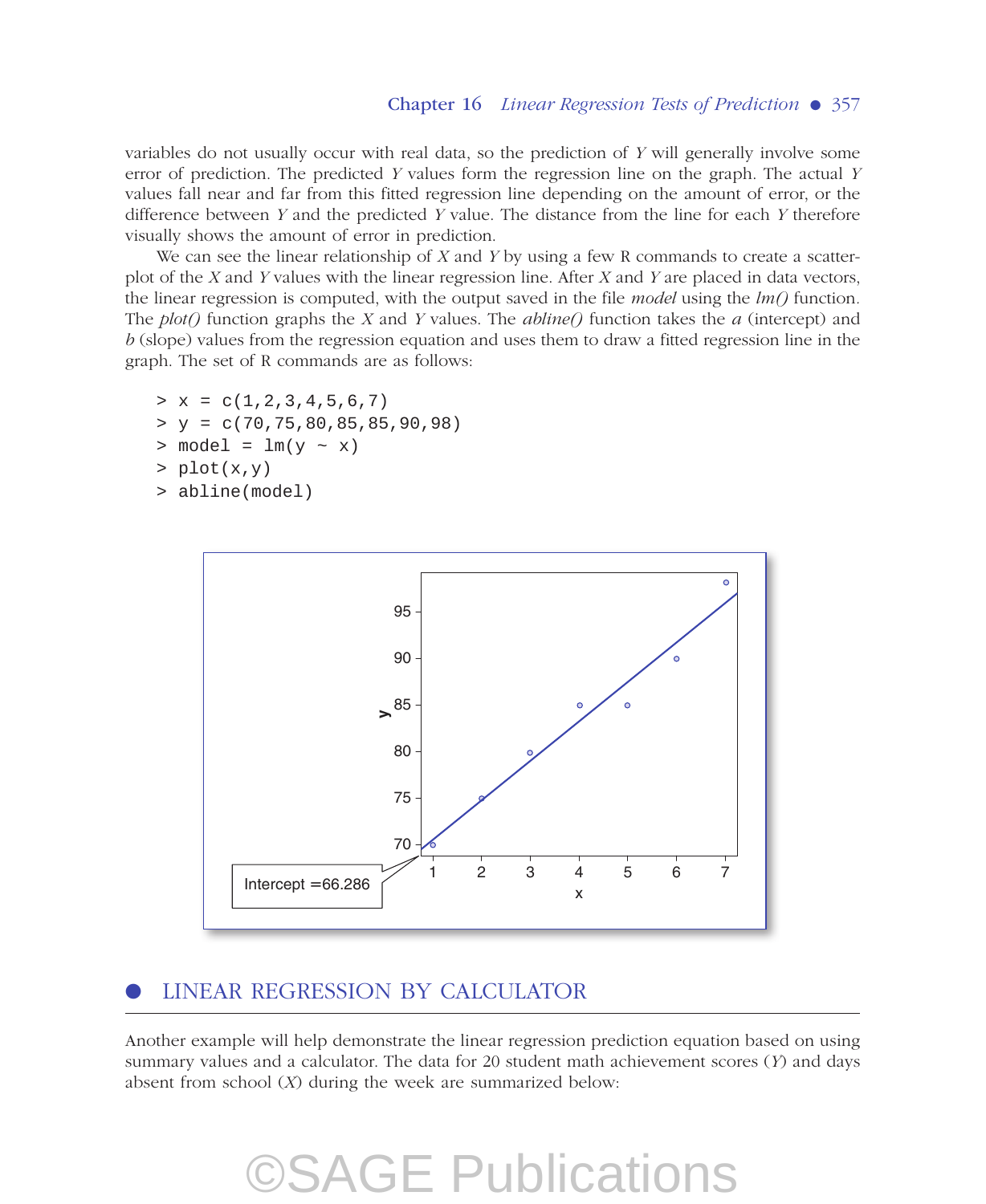variables do not usually occur with real data, so the prediction of *Y* will generally involve some error of prediction. The predicted *Y* values form the regression line on the graph. The actual *Y* values fall near and far from this fitted regression line depending on the amount of error, or the difference between *Y* and the predicted *Y* value. The distance from the line for each *Y* therefore visually shows the amount of error in prediction.

We can see the linear relationship of *X* and *Y* by using a few R commands to create a scatterplot of the *X* and *Y* values with the linear regression line. After *X* and *Y* are placed in data vectors, the linear regression is computed, with the output saved in the file *model* using the *lm()* function*.* The *plot()* function graphs the *X* and *Y* values. The *abline()* function takes the *a* (intercept) and *b* (slope) values from the regression equation and uses them to draw a fitted regression line in the graph. The set of R commands are as follows:

 $> x = c(1, 2, 3, 4, 5, 6, 7)$  $> y = c(70, 75, 80, 85, 85, 90, 98)$  $>$  model =  $lm(y \sim x)$ > plot(x,y) > abline(model)



### LINEAR REGRESSION BY CALCULATOR

Another example will help demonstrate the linear regression prediction equation based on using summary values and a calculator. The data for 20 student math achievement scores (*Y*) and days absent from school (*X*) during the week are summarized below: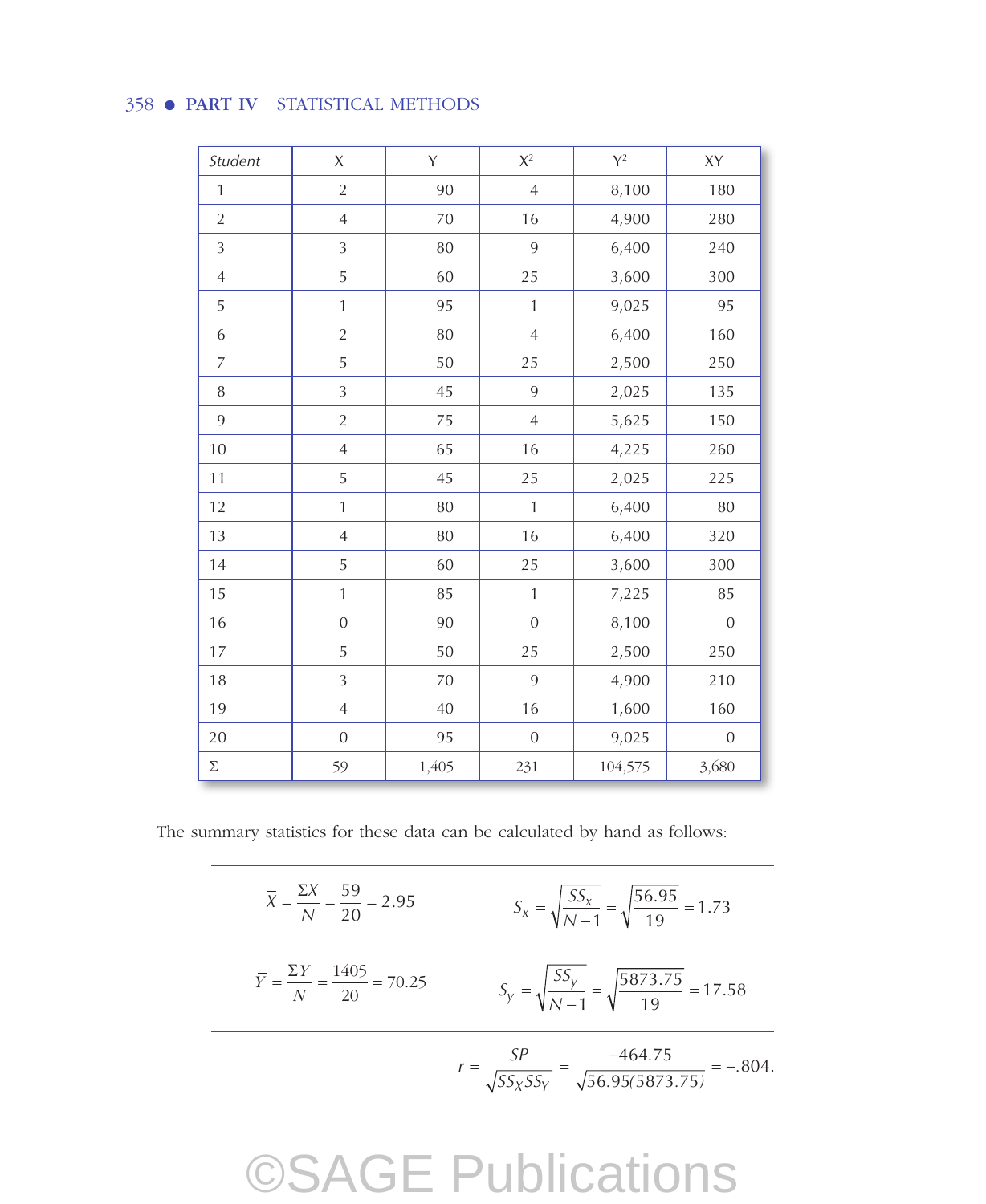| Student        | X                | Y     | $\mathsf{X}^2$   | $Y^2$   | XY               |
|----------------|------------------|-------|------------------|---------|------------------|
| $\mathbf{1}$   | $\overline{2}$   | 90    | $\overline{4}$   | 8,100   | 180              |
| $\sqrt{2}$     | $\overline{4}$   | 70    | 16               | 4,900   | 280              |
| 3              | 3                | 80    | 9                | 6,400   | 240              |
| $\sqrt{4}$     | 5                | 60    | 25               | 3,600   | 300              |
| 5              | $\mathbf{1}$     | 95    | $\mathbf{1}$     | 9,025   | 95               |
| 6              | $\sqrt{2}$       | 80    | $\overline{4}$   | 6,400   | 160              |
| $\overline{7}$ | 5                | 50    | 25               | 2,500   | 250              |
| 8              | 3                | 45    | 9                | 2,025   | 135              |
| 9              | $\overline{2}$   | 75    | $\overline{4}$   | 5,625   | 150              |
| 10             | $\overline{4}$   | 65    | $16\,$           | 4,225   | 260              |
| 11             | 5                | 45    | 25               | 2,025   | 225              |
| 12             | $\mathbf{1}$     | 80    | $\mathbf{1}$     | 6,400   | 80               |
| 13             | $\overline{4}$   | 80    | 16               | 6,400   | 320              |
| 14             | 5                | 60    | 25               | 3,600   | 300              |
| 15             | $\mathbf{1}$     | 85    | $\mathbf{1}$     | 7,225   | 85               |
| 16             | $\boldsymbol{0}$ | 90    | $\boldsymbol{0}$ | 8,100   | $\boldsymbol{0}$ |
| 17             | 5                | 50    | 25               | 2,500   | 250              |
| 18             | $\mathfrak{Z}$   | 70    | 9                | 4,900   | 210              |
| 19             | $\overline{4}$   | 40    | 16               | 1,600   | 160              |
| 20             | $\boldsymbol{0}$ | 95    | $\boldsymbol{0}$ | 9,025   | $\boldsymbol{0}$ |
| $\Sigma$       | 59               | 1,405 | 231              | 104,575 | 3,680            |

The summary statistics for these data can be calculated by hand as follows:

$$
\overline{X} = \frac{\Sigma X}{N} = \frac{59}{20} = 2.95
$$
\n
$$
S_x = \sqrt{\frac{SS_x}{N-1}} = \sqrt{\frac{56.95}{19}} = 1.73
$$
\n
$$
\overline{Y} = \frac{\Sigma Y}{N} = \frac{1405}{20} = 70.25
$$
\n
$$
S_y = \sqrt{\frac{SS_y}{N-1}} = \sqrt{\frac{5873.75}{19}} = 17.58
$$
\n
$$
r = \frac{SP}{\sqrt{SS_XSS_Y}} = \frac{-464.75}{\sqrt{56.95(5873.75)}} = -.804.
$$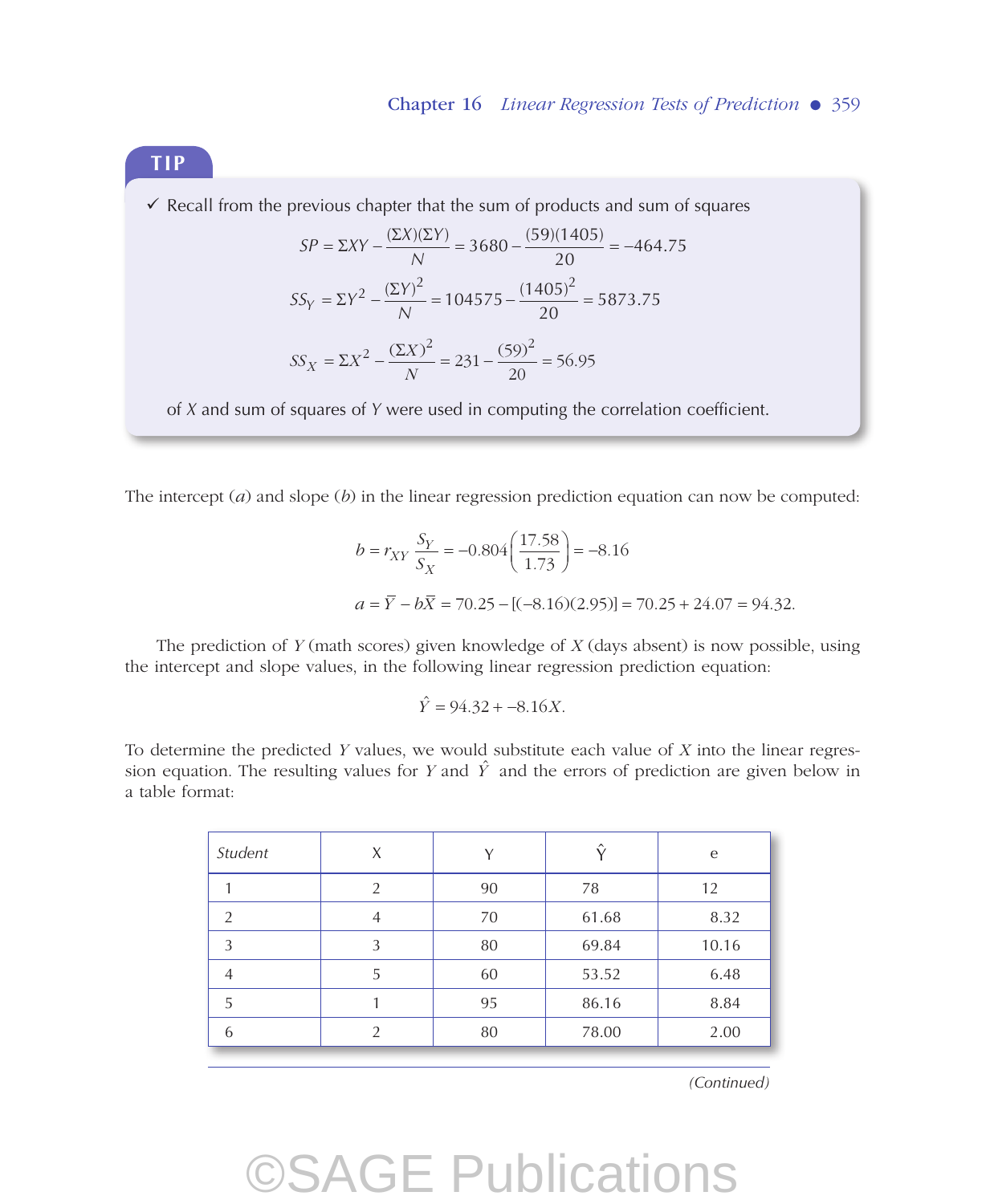### **TIP**

 $\checkmark$  Recall from the previous chapter that the sum of products and sum of squares

$$
SP = \Sigma XY - \frac{(\Sigma X)(\Sigma Y)}{N} = 3680 - \frac{(59)(1405)}{20} = -464.75
$$
  

$$
SS_{Y} = \Sigma Y^{2} - \frac{(\Sigma Y)^{2}}{N} = 104575 - \frac{(1405)^{2}}{20} = 5873.75
$$
  

$$
SS_{X} = \Sigma X^{2} - \frac{(\Sigma X)^{2}}{N} = 231 - \frac{(59)^{2}}{20} = 56.95
$$

of *X* and sum of squares of *Y* were used in computing the correlation coefficient.

The intercept (*a*) and slope (*b*) in the linear regression prediction equation can now be computed:

$$
b = r_{XY} \frac{S_Y}{S_X} = -0.804 \left( \frac{17.58}{1.73} \right) = -8.16
$$
  

$$
a = \overline{Y} - b\overline{X} = 70.25 - [(-8.16)(2.95)] = 70.25 + 24.07 = 94.32.
$$

The prediction of *Y* (math scores) given knowledge of *X* (days absent) is now possible, using the intercept and slope values, in the following linear regression prediction equation:

$$
\hat{Y} = 94.32 + -8.16X.
$$

To determine the predicted *Y* values, we would substitute each value of *X* into the linear regression equation. The resulting values for *Y* and  $\hat{Y}$  and the errors of prediction are given below in a table format:

| Student        | X              |    | $\hat{}$ | e     |
|----------------|----------------|----|----------|-------|
|                | $\overline{2}$ | 90 | 78       | 12    |
| $\overline{2}$ | 4              | 70 | 61.68    | 8.32  |
| 3              | 3              | 80 | 69.84    | 10.16 |
| 4              | 5              | 60 | 53.52    | 6.48  |
| 5              |                | 95 | 86.16    | 8.84  |
| 6              | 2              | 80 | 78.00    | 2.00  |

*(Continued)*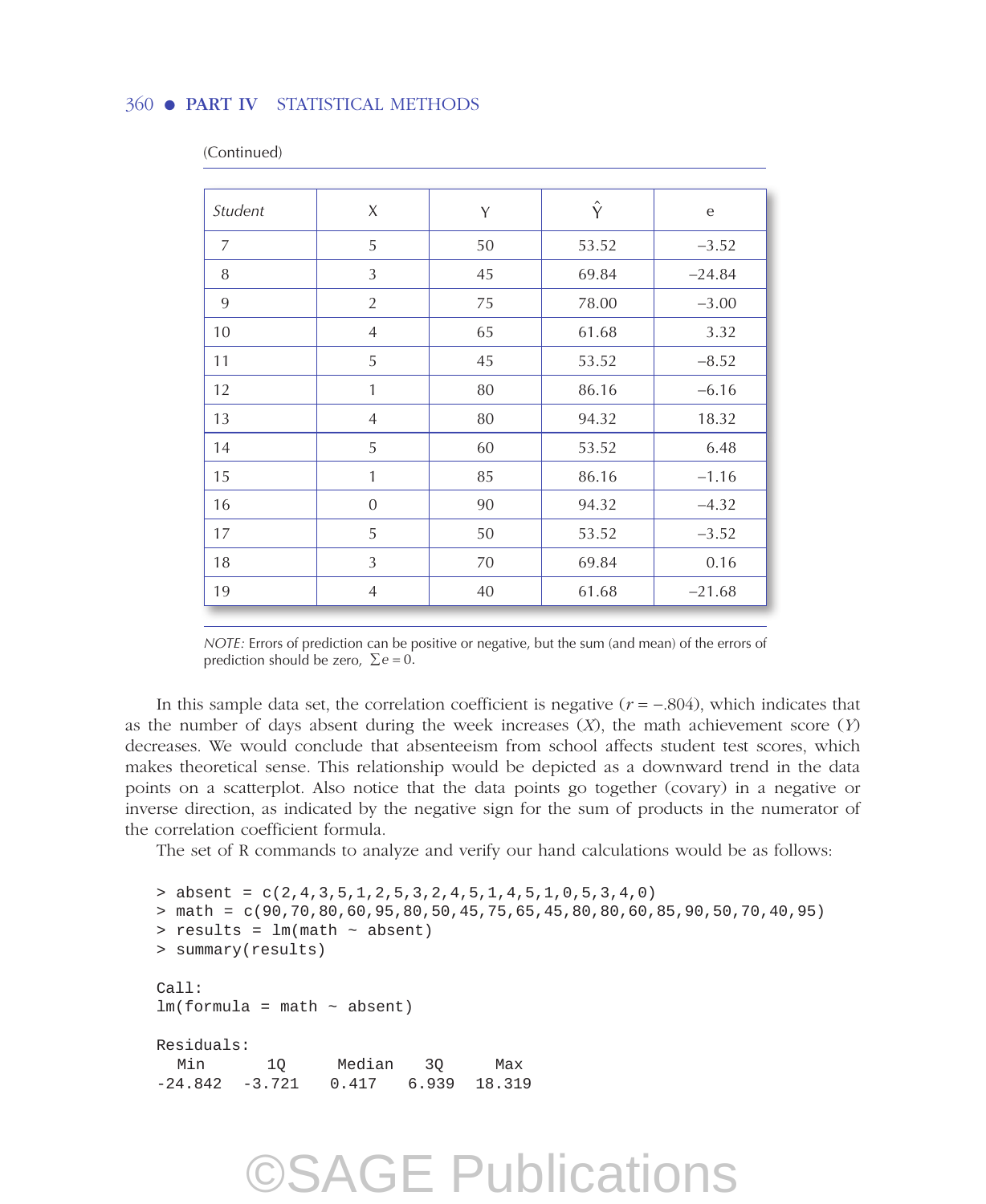(Continued)

| Student | X              | Y  | Ŷ     | e        |
|---------|----------------|----|-------|----------|
| 7       | 5              | 50 | 53.52 | $-3.52$  |
| 8       | 3              | 45 | 69.84 | $-24.84$ |
| 9       | $\overline{2}$ | 75 | 78.00 | $-3.00$  |
| 10      | $\overline{4}$ | 65 | 61.68 | 3.32     |
| 11      | 5              | 45 | 53.52 | $-8.52$  |
| 12      | 1              | 80 | 86.16 | $-6.16$  |
| 13      | $\overline{4}$ | 80 | 94.32 | 18.32    |
| 14      | 5              | 60 | 53.52 | 6.48     |
| 15      | 1              | 85 | 86.16 | $-1.16$  |
| 16      | $\overline{0}$ | 90 | 94.32 | $-4.32$  |
| 17      | 5              | 50 | 53.52 | $-3.52$  |
| 18      | 3              | 70 | 69.84 | 0.16     |
| 19      | $\overline{4}$ | 40 | 61.68 | $-21.68$ |

*NOTE:* Errors of prediction can be positive or negative, but the sum (and mean) of the errors of prediction should be zero,  $\Sigma e = 0$ .

In this sample data set, the correlation coefficient is negative  $(r = -.804)$ , which indicates that as the number of days absent during the week increases (*X*), the math achievement score (*Y*) decreases. We would conclude that absenteeism from school affects student test scores, which makes theoretical sense. This relationship would be depicted as a downward trend in the data points on a scatterplot. Also notice that the data points go together (covary) in a negative or inverse direction, as indicated by the negative sign for the sum of products in the numerator of the correlation coefficient formula.

The set of R commands to analyze and verify our hand calculations would be as follows:

```
> absent = c(2, 4, 3, 5, 1, 2, 5, 3, 2, 4, 5, 1, 4, 5, 1, 0, 5, 3, 4, 0)> math = c(90,70,80,60,95,80,50,45,75,65,45,80,80,60,85,90,50,70,40,95)
> results = lm(math ~ ~~absent)> summary(results)
C<sub>2</sub>11:
lm(formula = math ~ * absent)Residuals:
Min 1Q Median 3Q Max<br>-24.842 -3.721 0.417 6.939 18.31
                   0.417 6.939 18.319
```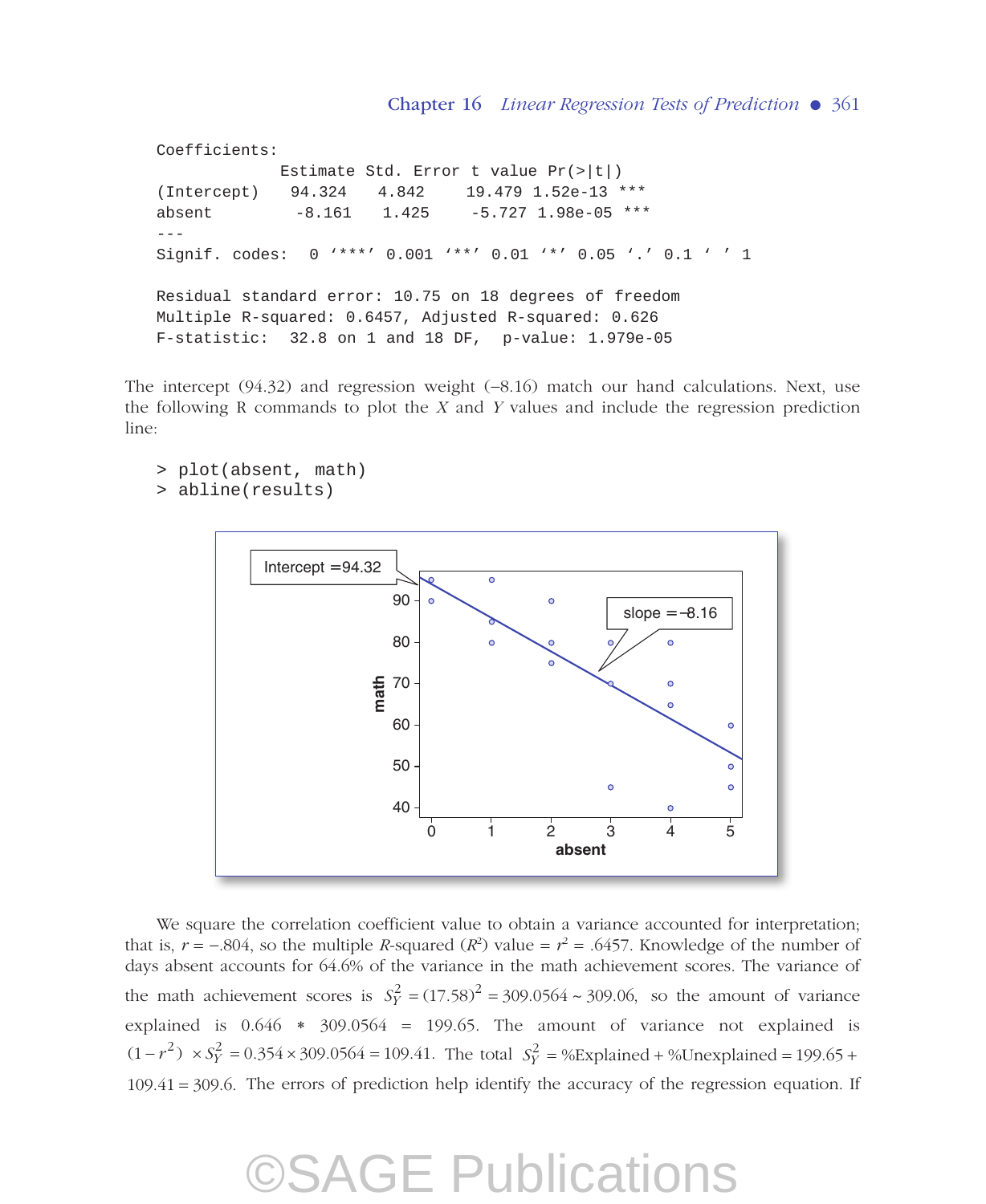```
Coefficients:
             Estimate Std. Error t value Pr(>|t|) 
(Intercept) 94.324 4.842 19.479 1.52e-13 ***
absent -8.161 1.425 -5.727 1.98e-05 ***
---
Signif. codes: 0 '***' 0.001 '**' 0.01 '*' 0.05 '.' 0.1 ' ' 1
Residual standard error: 10.75 on 18 degrees of freedom
Multiple R-squared: 0.6457, Adjusted R-squared: 0.626
F-statistic: 32.8 on 1 and 18 DF, p-value: 1.979e-05
```
The intercept  $(94.32)$  and regression weight  $(-8.16)$  match our hand calculations. Next, use the following R commands to plot the *X* and *Y* values and include the regression prediction line:

```
> plot(absent, math)
> abline(results)
```


We square the correlation coefficient value to obtain a variance accounted for interpretation; that is,  $r = -.804$ , so the multiple *R*-squared  $(R^2)$  value =  $r^2 = .6457$ . Knowledge of the number of days absent accounts for 64.6% of the variance in the math achievement scores. The variance of the math achievement scores is  $S_Y^2 = (17.58)^2 = 309.0564 \approx 309.06$ , so the amount of variance explained is 0.646 \* 309.0564 = 199.65. The amount of variance not explained is  $(1 - r^2) \times S_Y^2 = 0.354 \times 309.0564 = 109.41$ . The total  $S_Y^2 = \%$ Explained + %Unexplained = 199.65 +  $109.41 = 309.6$ . The errors of prediction help identify the accuracy of the regression equation. If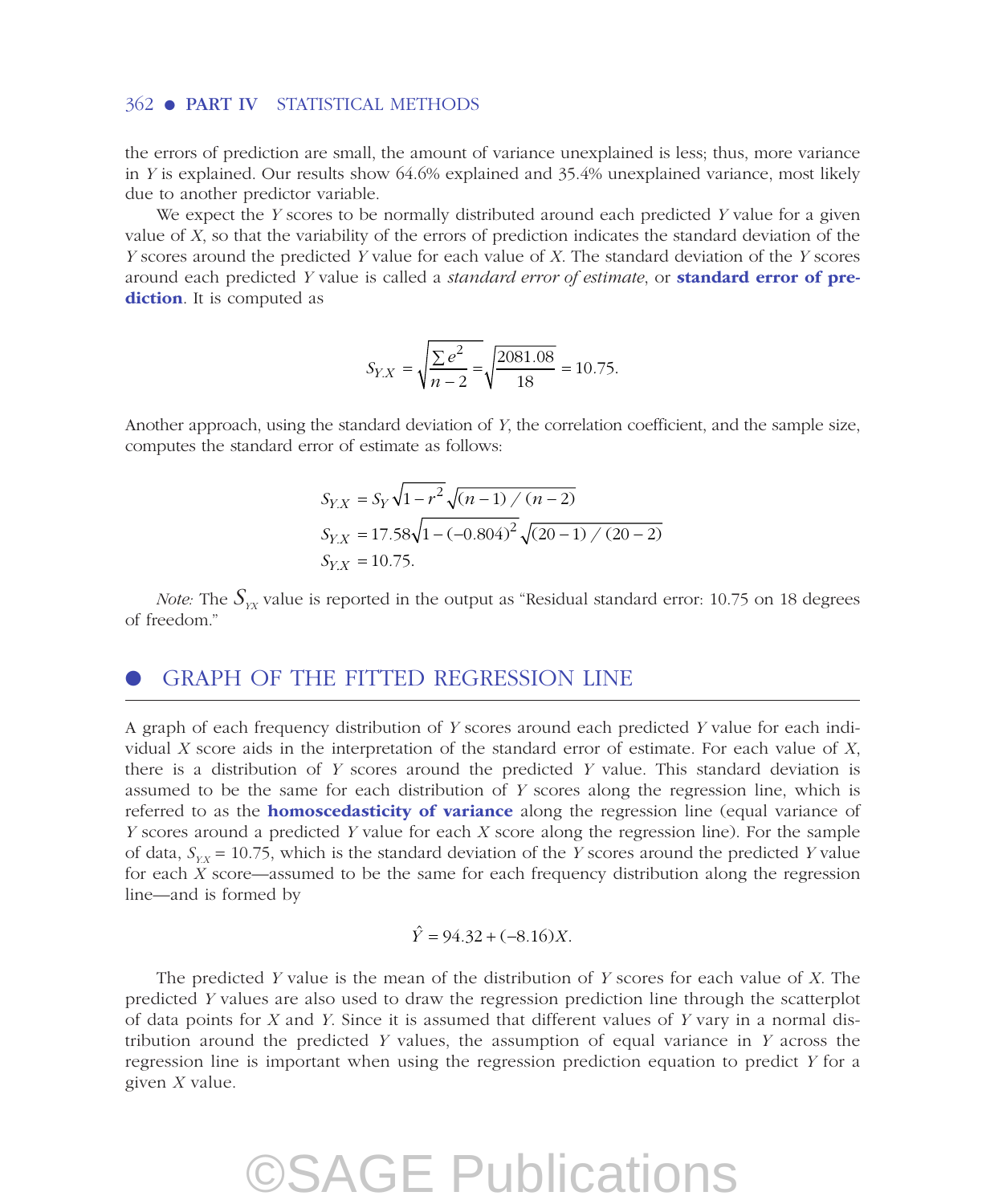the errors of prediction are small, the amount of variance unexplained is less; thus, more variance in *Y* is explained. Our results show 64.6% explained and 35.4% unexplained variance, most likely due to another predictor variable.

We expect the *Y* scores to be normally distributed around each predicted *Y* value for a given value of *X*, so that the variability of the errors of prediction indicates the standard deviation of the *Y* scores around the predicted *Y* value for each value of *X*. The standard deviation of the *Y* scores around each predicted *Y* value is called a *standard error of estimate*, or standard error of prediction. It is computed as

$$
S_{Y.X} = \sqrt{\frac{\sum e^2}{n-2}} = \sqrt{\frac{2081.08}{18}} = 10.75.
$$

Another approach, using the standard deviation of *Y*, the correlation coefficient, and the sample size, computes the standard error of estimate as follows:

$$
S_{Y.X} = S_Y \sqrt{1 - r^2} \sqrt{(n - 1)/(n - 2)}
$$
  
\n
$$
S_{Y.X} = 17.58 \sqrt{1 - (-0.804)^2} \sqrt{(20 - 1)/(20 - 2)}
$$
  
\n
$$
S_{Y.X} = 10.75.
$$

*Note:* The  $S_{YX}$  value is reported in the output as "Residual standard error: 10.75 on 18 degrees of freedom."

### GRAPH OF THE FITTED REGRESSION LINE

A graph of each frequency distribution of *Y* scores around each predicted *Y* value for each individual *X* score aids in the interpretation of the standard error of estimate. For each value of *X*, there is a distribution of *Y* scores around the predicted *Y* value. This standard deviation is assumed to be the same for each distribution of *Y* scores along the regression line, which is referred to as the **homoscedasticity of variance** along the regression line (equal variance of *Y* scores around a predicted *Y* value for each *X* score along the regression line). For the sample of data,  $S_{yy} = 10.75$ , which is the standard deviation of the *Y* scores around the predicted *Y* value for each *X* score—assumed to be the same for each frequency distribution along the regression line—and is formed by

$$
\hat{Y} = 94.32 + (-8.16)X.
$$

The predicted *Y* value is the mean of the distribution of *Y* scores for each value of *X*. The predicted *Y* values are also used to draw the regression prediction line through the scatterplot of data points for *X* and *Y*. Since it is assumed that different values of *Y* vary in a normal distribution around the predicted *Y* values, the assumption of equal variance in *Y* across the regression line is important when using the regression prediction equation to predict *Y* for a given *X* value.

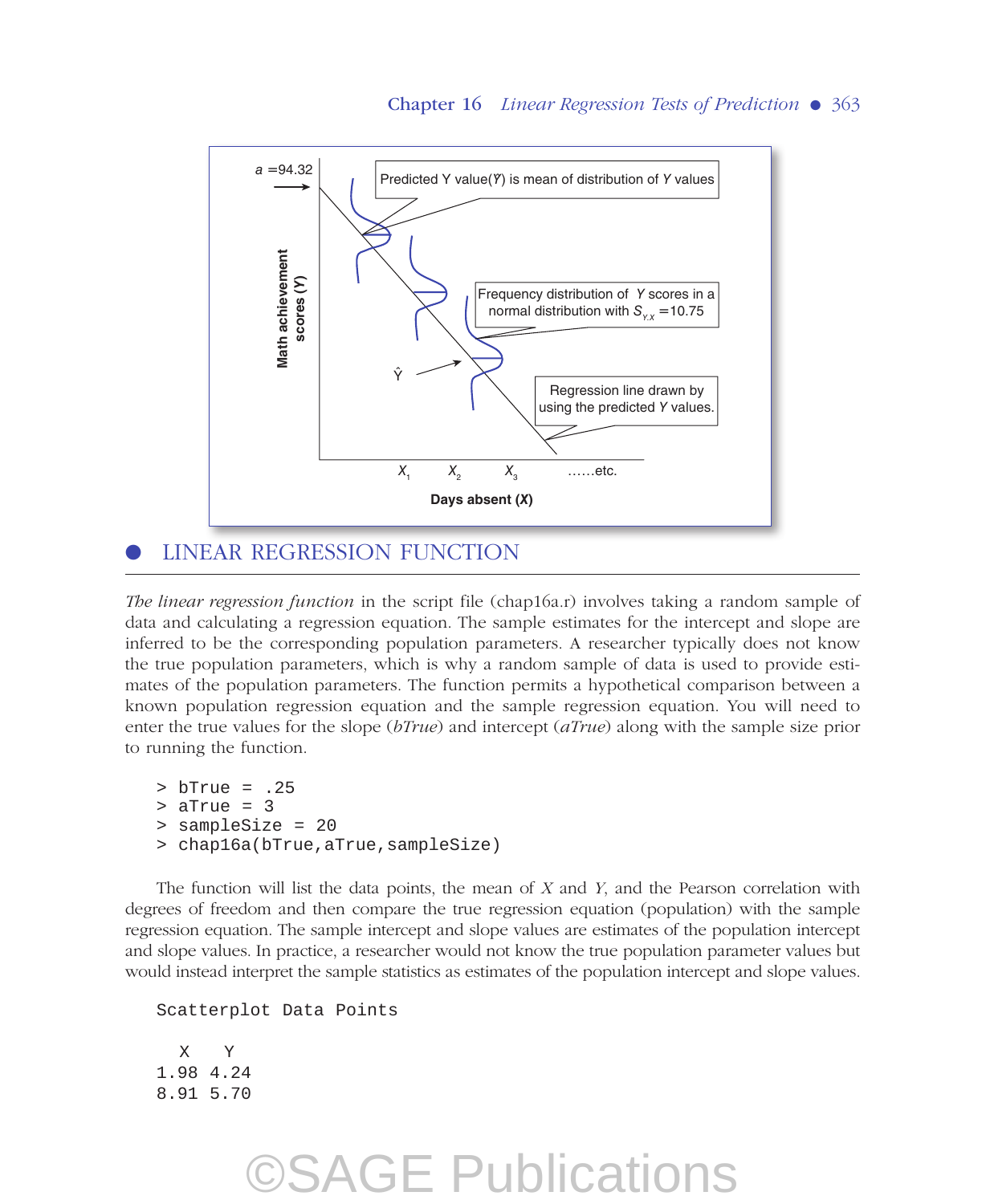

### LINEAR REGRESSION FUNCTION

*The linear regression function* in the script file (chap16a.r) involves taking a random sample of data and calculating a regression equation. The sample estimates for the intercept and slope are inferred to be the corresponding population parameters. A researcher typically does not know the true population parameters, which is why a random sample of data is used to provide estimates of the population parameters. The function permits a hypothetical comparison between a known population regression equation and the sample regression equation. You will need to enter the true values for the slope (*bTrue*) and intercept (*aTrue*) along with the sample size prior to running the function.

```
> bTrue = .25
> aTrue = 3
> sampleSize = 20
> chap16a(bTrue,aTrue,sampleSize)
```
The function will list the data points, the mean of *X* and *Y*, and the Pearson correlation with degrees of freedom and then compare the true regression equation (population) with the sample regression equation. The sample intercept and slope values are estimates of the population intercept and slope values. In practice, a researcher would not know the true population parameter values but would instead interpret the sample statistics as estimates of the population intercept and slope values.

```
Scatterplot Data Points
```
 X Y 1.98 4.24 8.91 5.70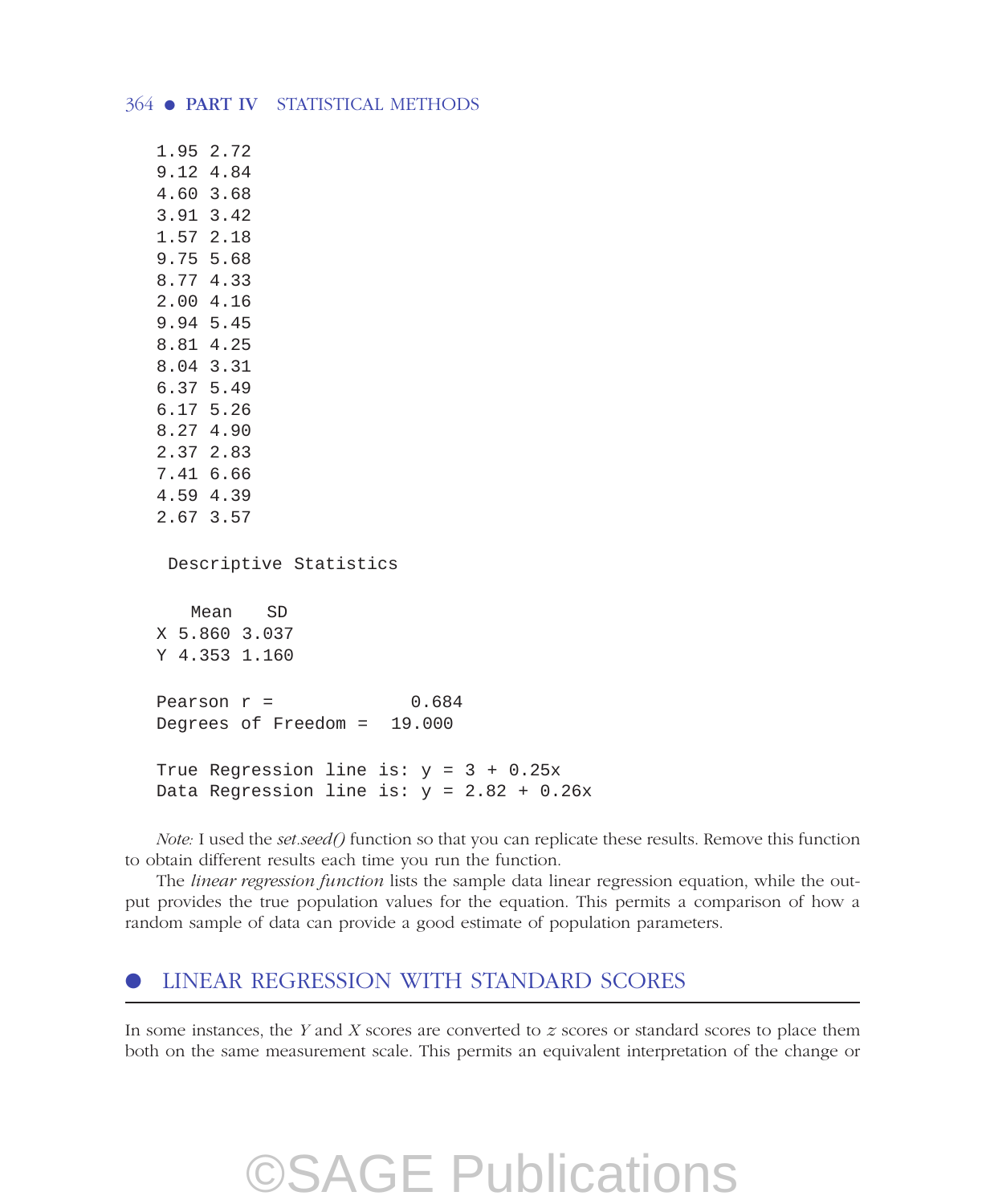| 1.95 2.72                                   |
|---------------------------------------------|
| 9.12 4.84                                   |
| 4.60 3.68                                   |
| 3.91 3.42                                   |
| 1.57 2.18                                   |
| 9.75 5.68                                   |
| 8.77 4.33                                   |
| 2.00 4.16                                   |
| 9.94 5.45                                   |
| 8.81 4.25                                   |
| 8.04 3.31                                   |
| 6.37 5.49                                   |
| 6.175.26                                    |
| 8.27 4.90                                   |
| 2.37 2.83                                   |
| 7.41 6.66                                   |
| 4.59 4.39                                   |
| 2.67 3.57                                   |
|                                             |
| Descriptive Statistics                      |
|                                             |
| Mean SD                                     |
| X 5.860 3.037                               |
| Y 4.353 1.160                               |
|                                             |
| 0.684<br>Pearson $r =$                      |
| Degrees of Freedom = 19.000                 |
|                                             |
| True Regression line is: $y = 3 + 0.25x$    |
| Data Regression line is: $y = 2.82 + 0.26x$ |
|                                             |

*Note:* I used the *set.seed()* function so that you can replicate these results. Remove this function to obtain different results each time you run the function.

The *linear regression function* lists the sample data linear regression equation, while the output provides the true population values for the equation. This permits a comparison of how a random sample of data can provide a good estimate of population parameters.

### LINEAR REGRESSION WITH STANDARD SCORES

In some instances, the *Y* and *X* scores are converted to *z* scores or standard scores to place them both on the same measurement scale. This permits an equivalent interpretation of the change or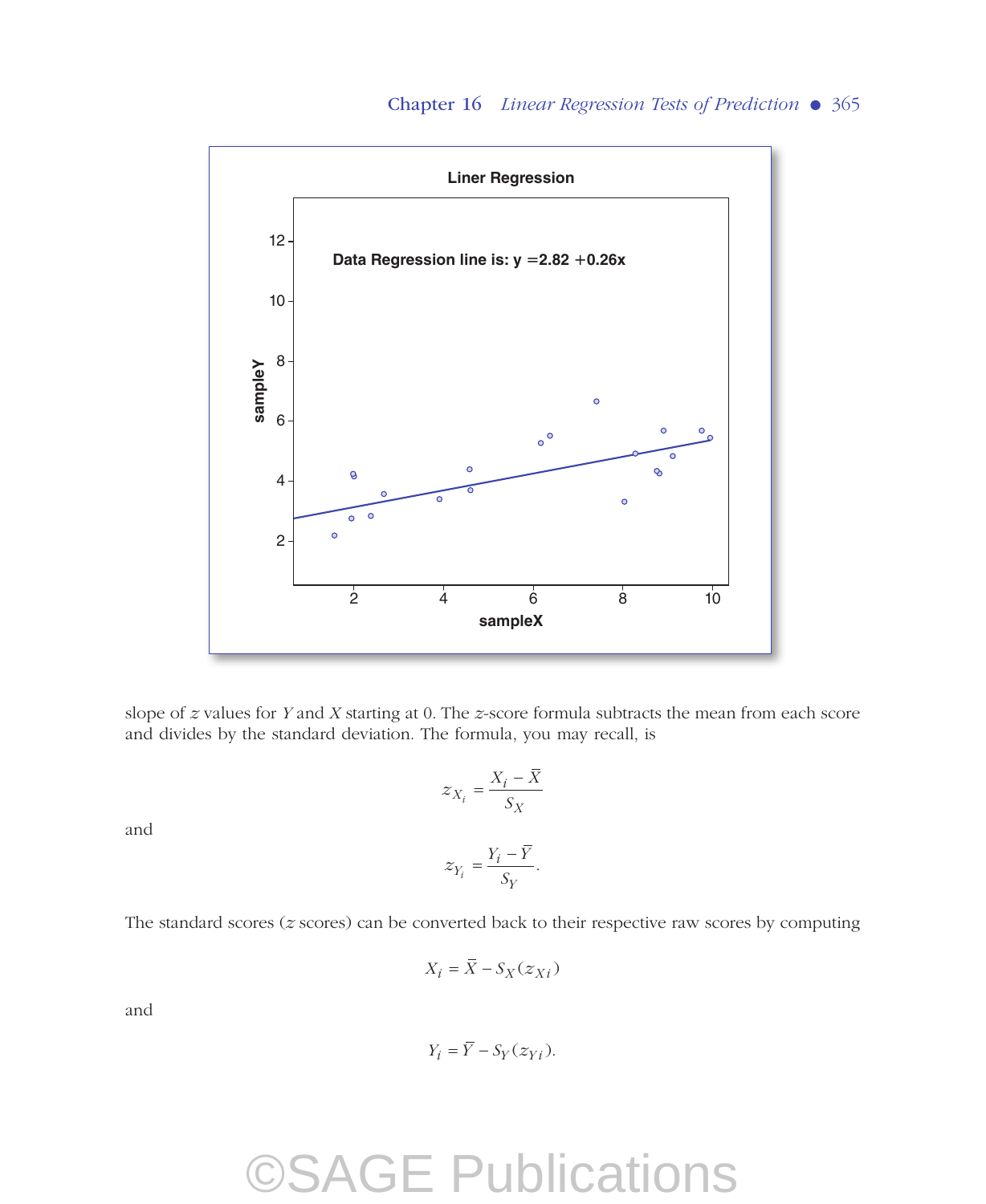

slope of *z* values for *Y* and *X* starting at 0. The *z*-score formula subtracts the mean from each score and divides by the standard deviation. The formula, you may recall, is

$$
z_{X_i} = \frac{X_i - \overline{X}}{S_X}
$$

and

$$
z_{Y_i} = \frac{Y_i - \overline{Y}}{S_Y}.
$$

The standard scores (*z* scores) can be converted back to their respective raw scores by computing

$$
X_i = \overline{X} - S_X(z_{Xi})
$$

and

$$
Y_i = \overline{Y} - S_Y(z_{Yi}).
$$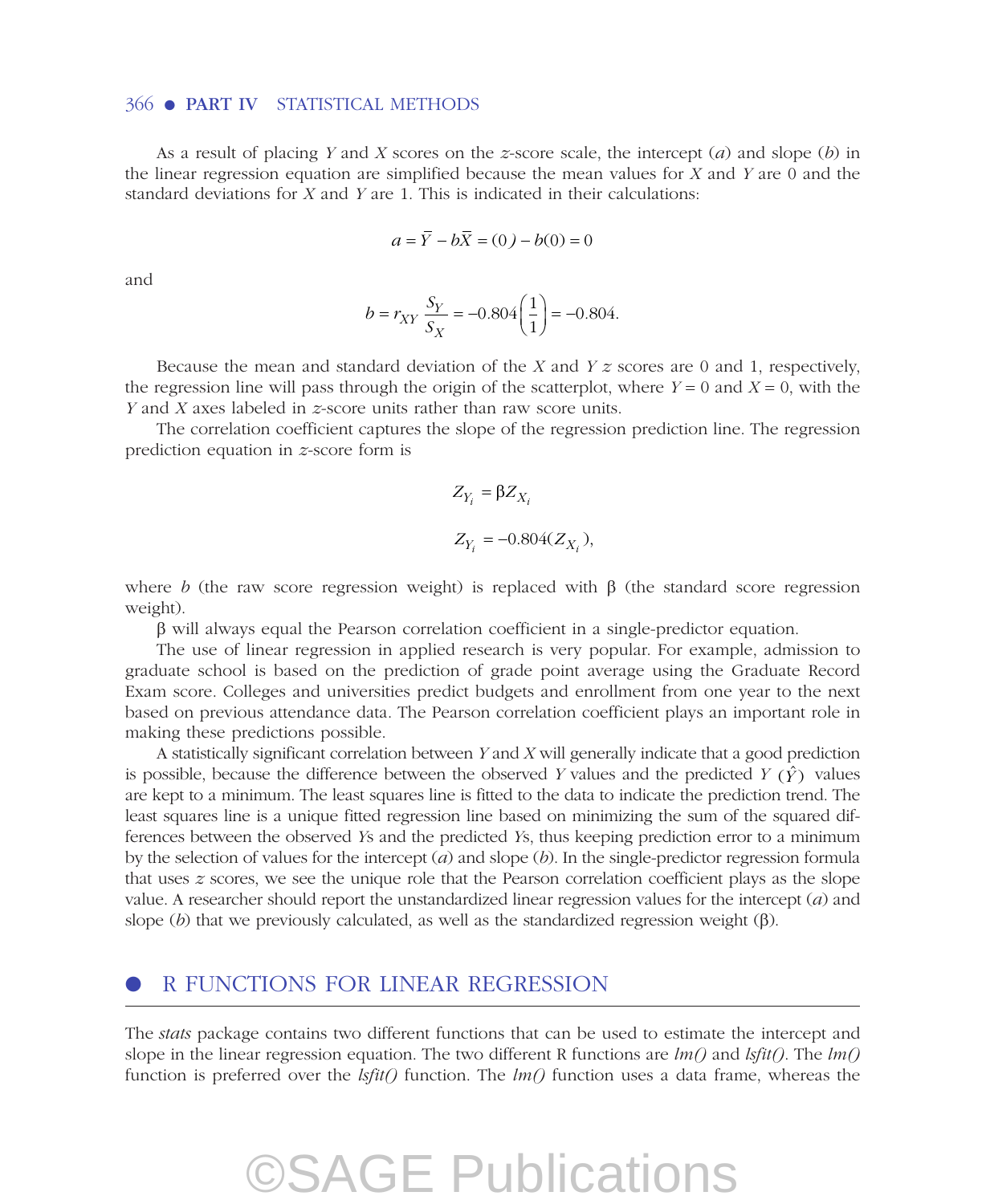As a result of placing *Y* and *X* scores on the *z*-score scale, the intercept (*a*) and slope (*b*) in the linear regression equation are simplified because the mean values for *X* and *Y* are 0 and the standard deviations for *X* and *Y* are 1. This is indicated in their calculations:

$$
a = \overline{Y} - b\overline{X} = (0) - b(0) = 0
$$

and

$$
b = r_{XY} \frac{S_Y}{S_X} = -0.804 \left(\frac{1}{1}\right) = -0.804.
$$

Because the mean and standard deviation of the *X* and *Y z* scores are 0 and 1, respectively, the regression line will pass through the origin of the scatterplot, where  $Y = 0$  and  $X = 0$ , with the *Y* and *X* axes labeled in *z*-score units rather than raw score units.

The correlation coefficient captures the slope of the regression prediction line. The regression prediction equation in *z*-score form is

$$
Z_{Y_i} = \beta Z_{X_i}
$$
  

$$
Z_{Y_i} = -0.804(Z_{X_i}),
$$

where *b* (the raw score regression weight) is replaced with  $\beta$  (the standard score regression weight).

 $\beta$  will always equal the Pearson correlation coefficient in a single-predictor equation.

The use of linear regression in applied research is very popular. For example, admission to graduate school is based on the prediction of grade point average using the Graduate Record Exam score. Colleges and universities predict budgets and enrollment from one year to the next based on previous attendance data. The Pearson correlation coefficient plays an important role in making these predictions possible.

A statistically significant correlation between *Y* and *X* will generally indicate that a good prediction is possible, because the difference between the observed *Y* values and the predicted *Y* ( $\hat{Y}$ ) values are kept to a minimum. The least squares line is fitted to the data to indicate the prediction trend. The least squares line is a unique fitted regression line based on minimizing the sum of the squared differences between the observed *Y*s and the predicted *Y*s, thus keeping prediction error to a minimum by the selection of values for the intercept (*a*) and slope (*b*). In the single-predictor regression formula that uses *z* scores, we see the unique role that the Pearson correlation coefficient plays as the slope value. A researcher should report the unstandardized linear regression values for the intercept (*a*) and slope  $(b)$  that we previously calculated, as well as the standardized regression weight  $(\beta)$ .

#### R FUNCTIONS FOR LINEAR REGRESSION

The *stats* package contains two different functions that can be used to estimate the intercept and slope in the linear regression equation. The two different R functions are *lm()* and *lsfit()*. The *lm()* function is preferred over the *lsfit()* function. The *lm()* function uses a data frame, whereas the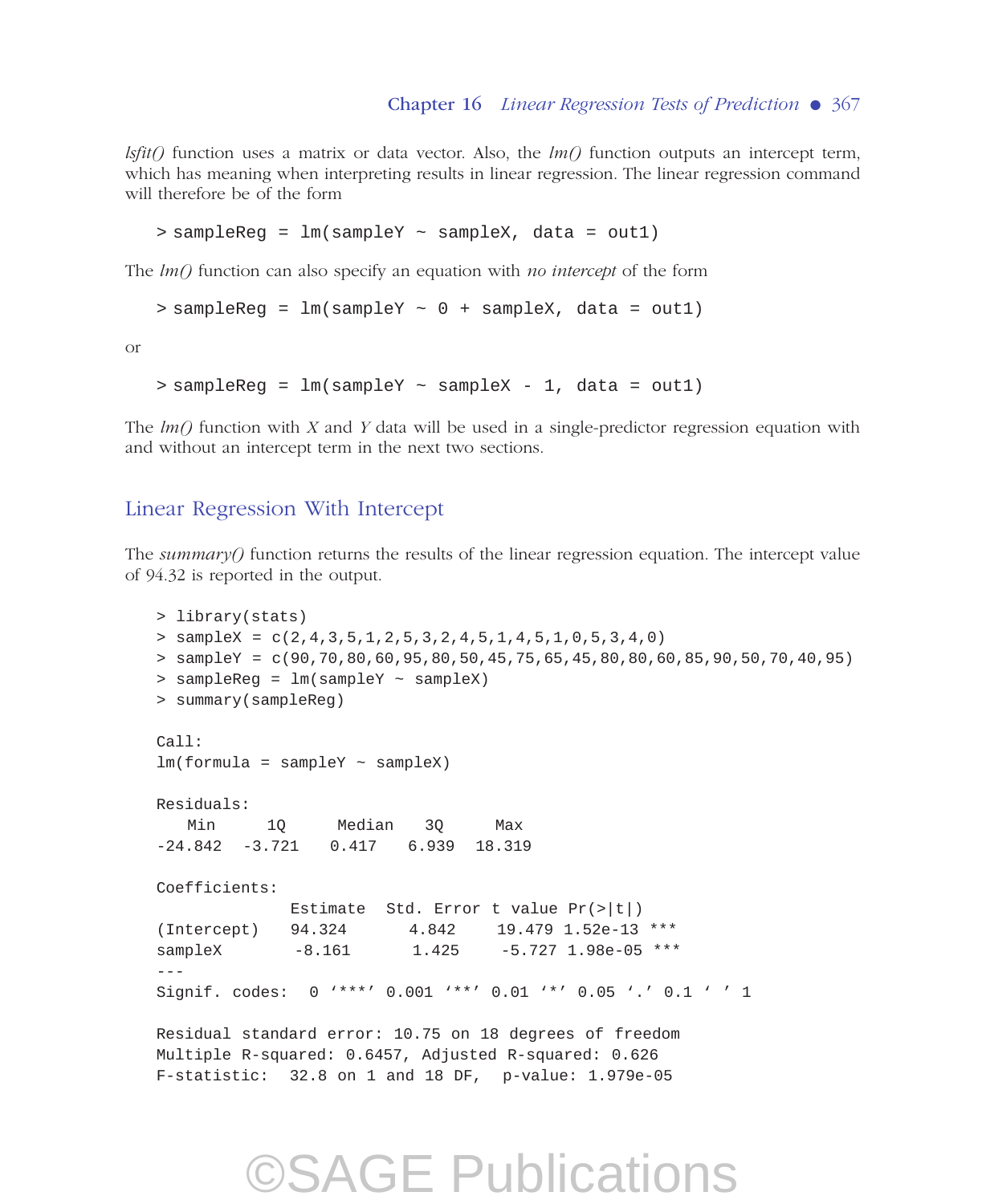*lsfit()* function uses a matrix or data vector. Also, the *lm()* function outputs an intercept term, which has meaning when interpreting results in linear regression. The linear regression command will therefore be of the form

> sampleReg = lm(sampleY ~ sampleX, data = out1)

The *lm()* function can also specify an equation with *no intercept* of the form

```
> sampleReq = lm(sampleY \sim 0 + samples, data = out1)
```
or

```
> sampleReg = lm(sampleY \sim sampleX - 1, data = out1)
```
The *lm()* function with *X* and *Y* data will be used in a single-predictor regression equation with and without an intercept term in the next two sections.

#### Linear Regression With Intercept

The *summary()* function returns the results of the linear regression equation. The intercept value of 94.32 is reported in the output.

```
> library(stats)
> sampleX = c(2, 4, 3, 5, 1, 2, 5, 3, 2, 4, 5, 1, 4, 5, 1, 0, 5, 3, 4, 0)> sampleY = c(90,70,80,60,95,80,50,45,75,65,45,80,80,60,85,90,50,70,40,95)
> sampleReq = lm(samplex \sim samples)> summary(sampleReg)
Call:
lm(formula = sampleY ~ ~ samples)Residuals:
    Min 1Q Median 3Q Max
-24.842 -3.721 0.417 6.939 18.319
Coefficients:
Estimate Std. Error t value Pr(>|t|)<br>(Intercept) 94.324 4.842 19.479 1.52e-13
                         (Intercept) 94.324 4.842 19.479 1.52e-13 ***
sampleX -8.161 1.425 -5.727 1.98e-05 ***
---
Signif. codes: 0 '***' 0.001 '**' 0.01 '*' 0.05 '.' 0.1 ' ' 1
Residual standard error: 10.75 on 18 degrees of freedom
Multiple R-squared: 0.6457, Adjusted R-squared: 0.626
F-statistic: 32.8 on 1 and 18 DF, p-value: 1.979e-05
```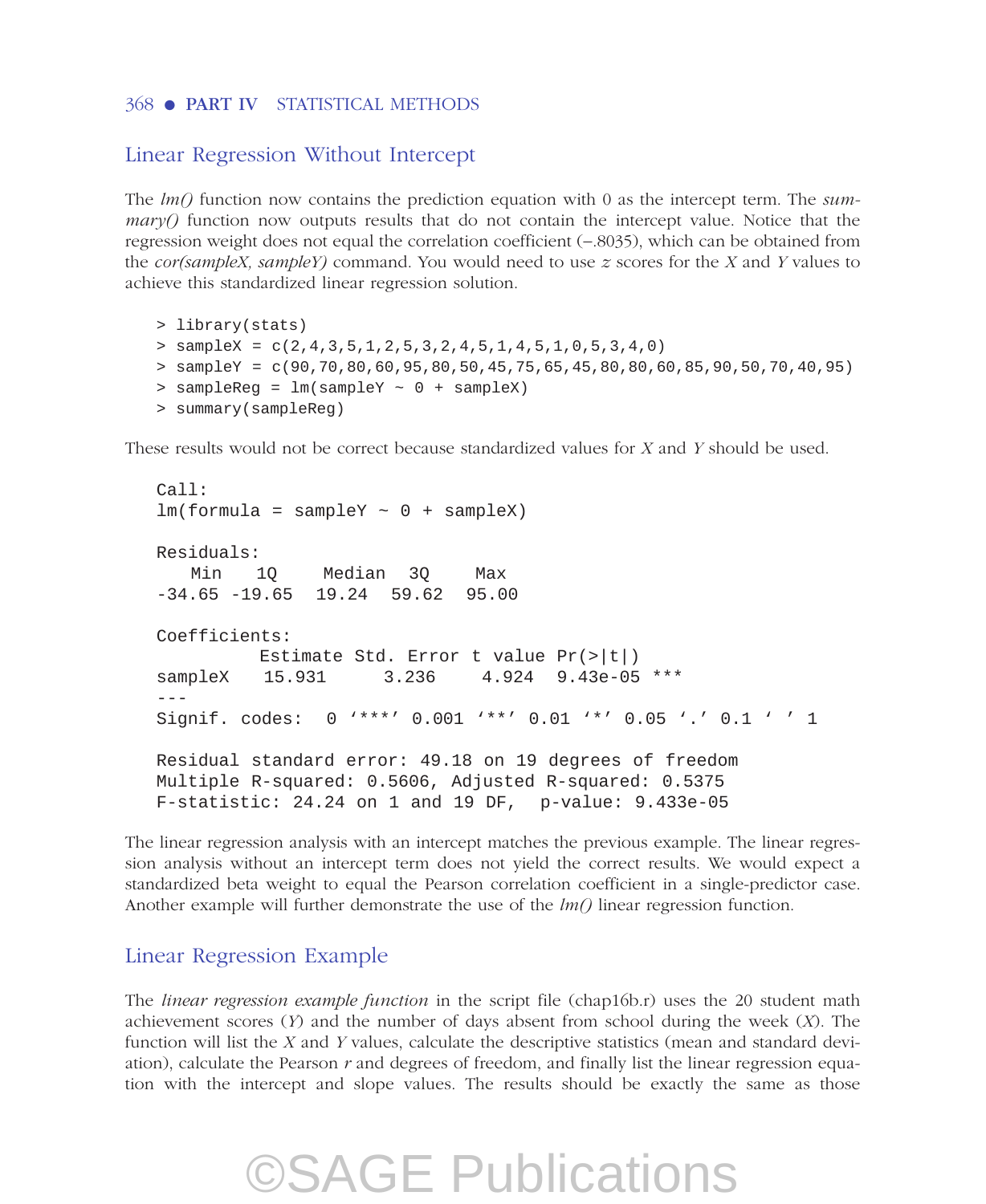#### Linear Regression Without Intercept

The *lm()* function now contains the prediction equation with 0 as the intercept term. The *sum-* $\frac{mary}{\sqrt{m}}$  function now outputs results that do not contain the intercept value. Notice that the regression weight does not equal the correlation coefficient  $(-.8035)$ , which can be obtained from the *cor(sampleX, sampleY)* command. You would need to use *z* scores for the *X* and *Y* values to achieve this standardized linear regression solution.

```
> library(stats)
> sampleX = c(2,4,3,5,1,2,5,3,2,4,5,1,4,5,1,0,5,3,4,0)
> sampleY = c(90,70,80,60,95,80,50,45,75,65,45,80,80,60,85,90,50,70,40,95)
> sampleReg = lm(sampleY ~ 0 + sampleX)
> summary(sampleReg)
```
These results would not be correct because standardized values for *X* and *Y* should be used.

```
Call:
lm(formula = sampleY ~ ~ 0 + sampleX)Residuals:
    Min 1Q Median 3Q Max
-34.65 -19.65 19.24 59.62 95.00
Coefficients:
         Estimate Std. Error t value Pr(>\vert t \vert)sampleX 15.931 3.236 4.924 9.43e-05 ***
---
Signif. codes: 0 '***' 0.001 '**' 0.01 '*' 0.05 '.' 0.1 ' ' 1
Residual standard error: 49.18 on 19 degrees of freedom
Multiple R-squared: 0.5606, Adjusted R-squared: 0.5375
F-statistic: 24.24 on 1 and 19 DF, p-value: 9.433e-05
```
The linear regression analysis with an intercept matches the previous example. The linear regression analysis without an intercept term does not yield the correct results. We would expect a standardized beta weight to equal the Pearson correlation coefficient in a single-predictor case. Another example will further demonstrate the use of the *lm()* linear regression function.

#### Linear Regression Example

The *linear regression example function* in the script file (chap16b.r) uses the 20 student math achievement scores (*Y*) and the number of days absent from school during the week (*X*). The function will list the *X* and *Y* values, calculate the descriptive statistics (mean and standard deviation), calculate the Pearson *r* and degrees of freedom, and finally list the linear regression equation with the intercept and slope values. The results should be exactly the same as those

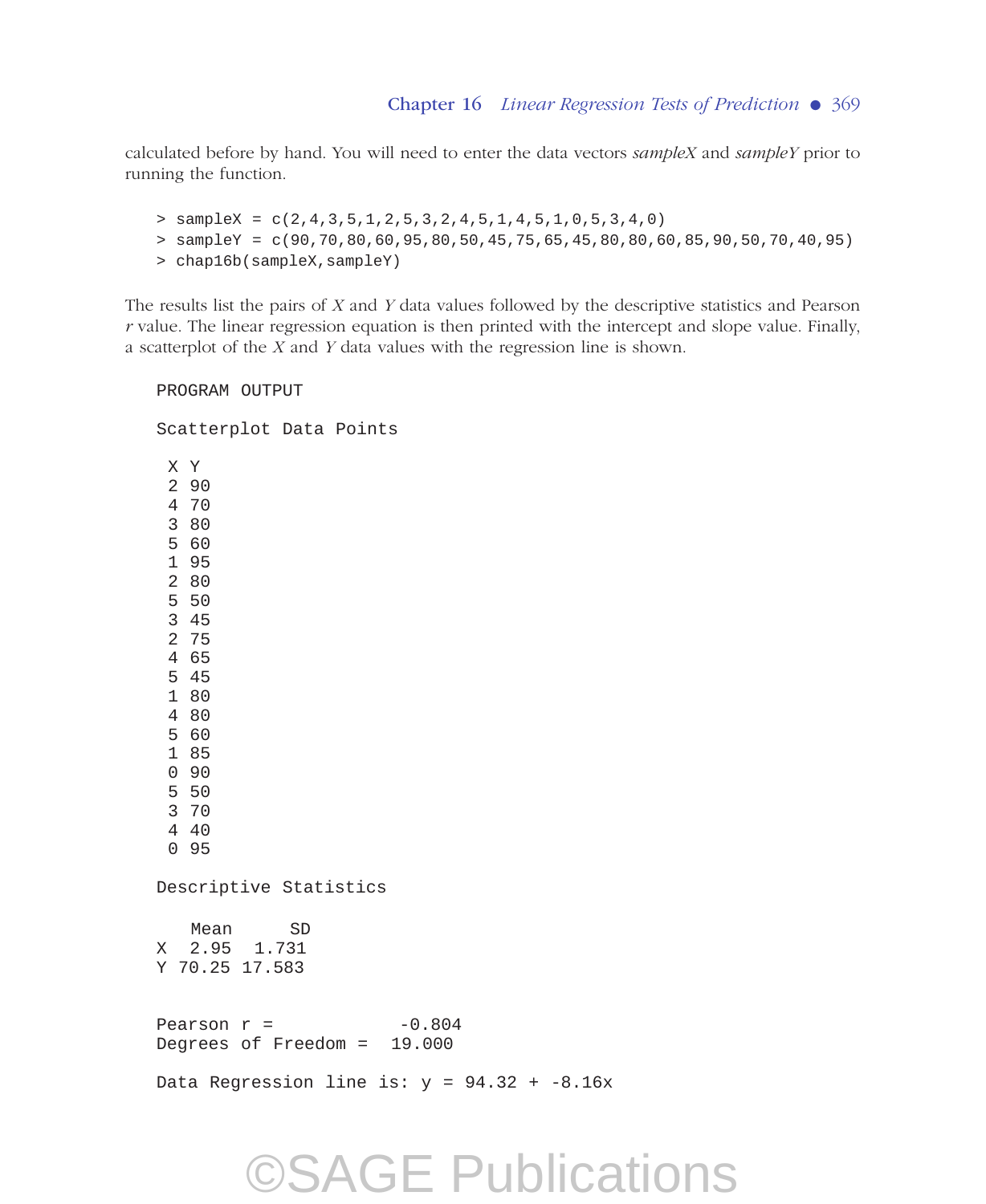calculated before by hand. You will need to enter the data vectors *sampleX* and *sampleY* prior to running the function.

> sampleX = c(2,4,3,5,1,2,5,3,2,4,5,1,4,5,1,0,5,3,4,0)

- > sampleY = c(90,70,80,60,95,80,50,45,75,65,45,80,80,60,85,90,50,70,40,95)
- > chap16b(sampleX,sampleY)

The results list the pairs of *X* and *Y* data values followed by the descriptive statistics and Pearson *r* value. The linear regression equation is then printed with the intercept and slope value. Finally, a scatterplot of the *X* and *Y* data values with the regression line is shown.

©SAGE Publications

PROGRAM OUTPUT Scatterplot Data Points X Y 2 90 4 70 3 80 5 60 1 95 2 80 5 50 3 45 2 75 4 65 5 45 1 80 4 80 5 60 1 85 0 90 5 50 3 70 4 40 0 95 Descriptive Statistics Mean SD X 2.95 1.731 Y 70.25 17.583 Pearson  $r = -0.804$ Degrees of Freedom = 19.000 Data Regression line is:  $y = 94.32 + -8.16x$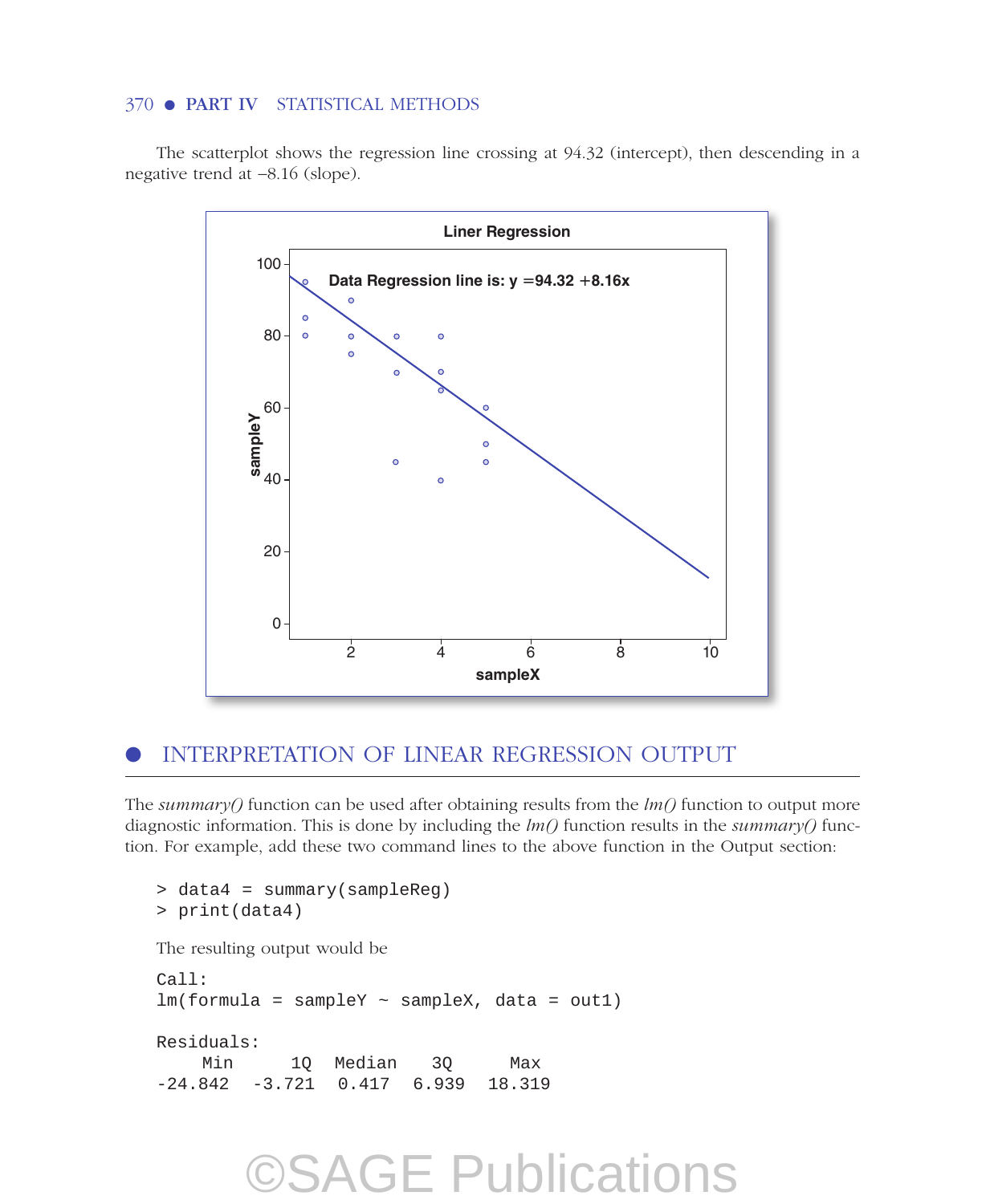The scatterplot shows the regression line crossing at 94.32 (intercept), then descending in a negative trend at -8.16 (slope).



### INTERPRETATION OF LINEAR REGRESSION OUTPUT

The *summary()* function can be used after obtaining results from the *lm()* function to output more diagnostic information. This is done by including the *lm()* function results in the *summary()* function. For example, add these two command lines to the above function in the Output section:

```
> data4 = summary(sampleReg)
> print(data4)
```
The resulting output would be

```
Call:
lm(formula = sampleY ~ × sampleX, data = out1)Residuals:
     Min 1Q Median 3Q Max
-24.842 -3.721 0.417 6.939
```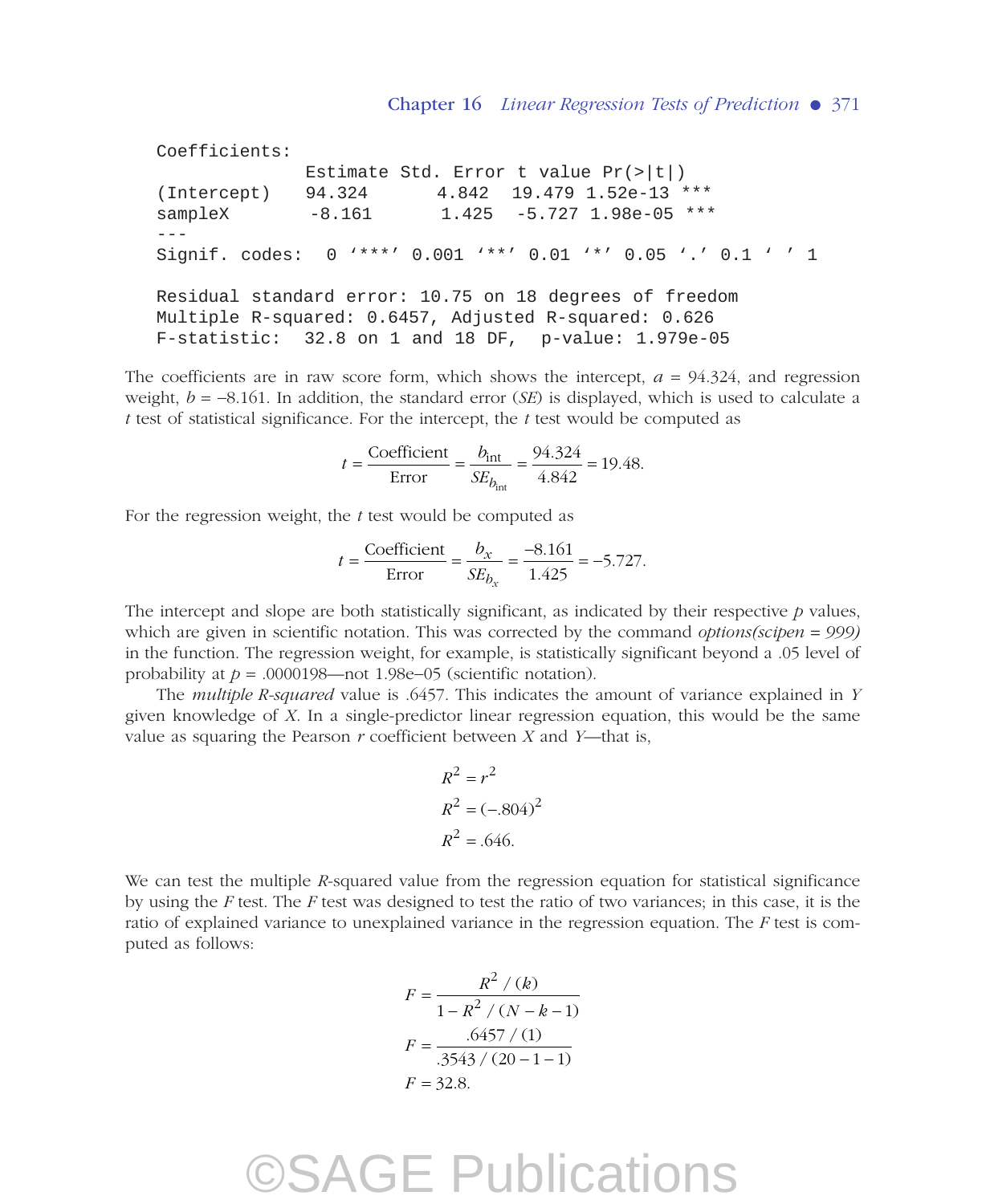Coefficients: Estimate Std. Error t value  $Pr(>|t|)$ (Intercept) 94.324 4.842 19.479 1.52e-13 \*\*\*<br>sampleX -8.161 1.425 -5.727 1.98e-05 \*\*\* sampleX -8.161 1.425 -5.727 1.98e-05 \*\*\* --- Signif. codes: 0 '\*\*\*' 0.001 '\*\*' 0.01 '\*' 0.05 '.' 0.1 ' ' 1 Residual standard error: 10.75 on 18 degrees of freedom Multiple R-squared: 0.6457, Adjusted R-squared: 0.626 F-statistic: 32.8 on 1 and 18 DF, p-value: 1.979e-05

The coefficients are in raw score form, which shows the intercept, *a* = 94.324, and regression weight,  $b = -8.161$ . In addition, the standard error (*SE*) is displayed, which is used to calculate a *t* test of statistical significance. For the intercept, the *t* test would be computed as

$$
t = \frac{\text{Coefficient}}{\text{Error}} = \frac{b_{\text{int}}}{SE_{b_{\text{int}}}} = \frac{94.324}{4.842} = 19.48.
$$

For the regression weight, the *t* test would be computed as

$$
t = \frac{\text{Coefficient}}{\text{Error}} = \frac{b_x}{SE_{b_x}} = \frac{-8.161}{1.425} = -5.727.
$$

The intercept and slope are both statistically significant, as indicated by their respective *p* values, which are given in scientific notation. This was corrected by the command *options(scipen = 999)*  in the function. The regression weight, for example, is statistically significant beyond a .05 level of probability at *p* = .0000198—not 1.98e-05 (scientific notation).

The *multiple R-squared* value is .6457. This indicates the amount of variance explained in *Y* given knowledge of *X*. In a single-predictor linear regression equation, this would be the same value as squaring the Pearson *r* coefficient between *X* and *Y*—that is,

$$
R2 = r2
$$
  

$$
R2 = (-.804)2
$$
  

$$
R2 = .646.
$$

We can test the multiple *R*-squared value from the regression equation for statistical significance by using the *F* test. The *F* test was designed to test the ratio of two variances; in this case, it is the ratio of explained variance to unexplained variance in the regression equation. The *F* test is computed as follows:

$$
F = \frac{R^2 / (k)}{1 - R^2 / (N - k - 1)}
$$

$$
F = \frac{.6457 / (1)}{.3543 / (20 - 1 - 1)}
$$

$$
F = 32.8.
$$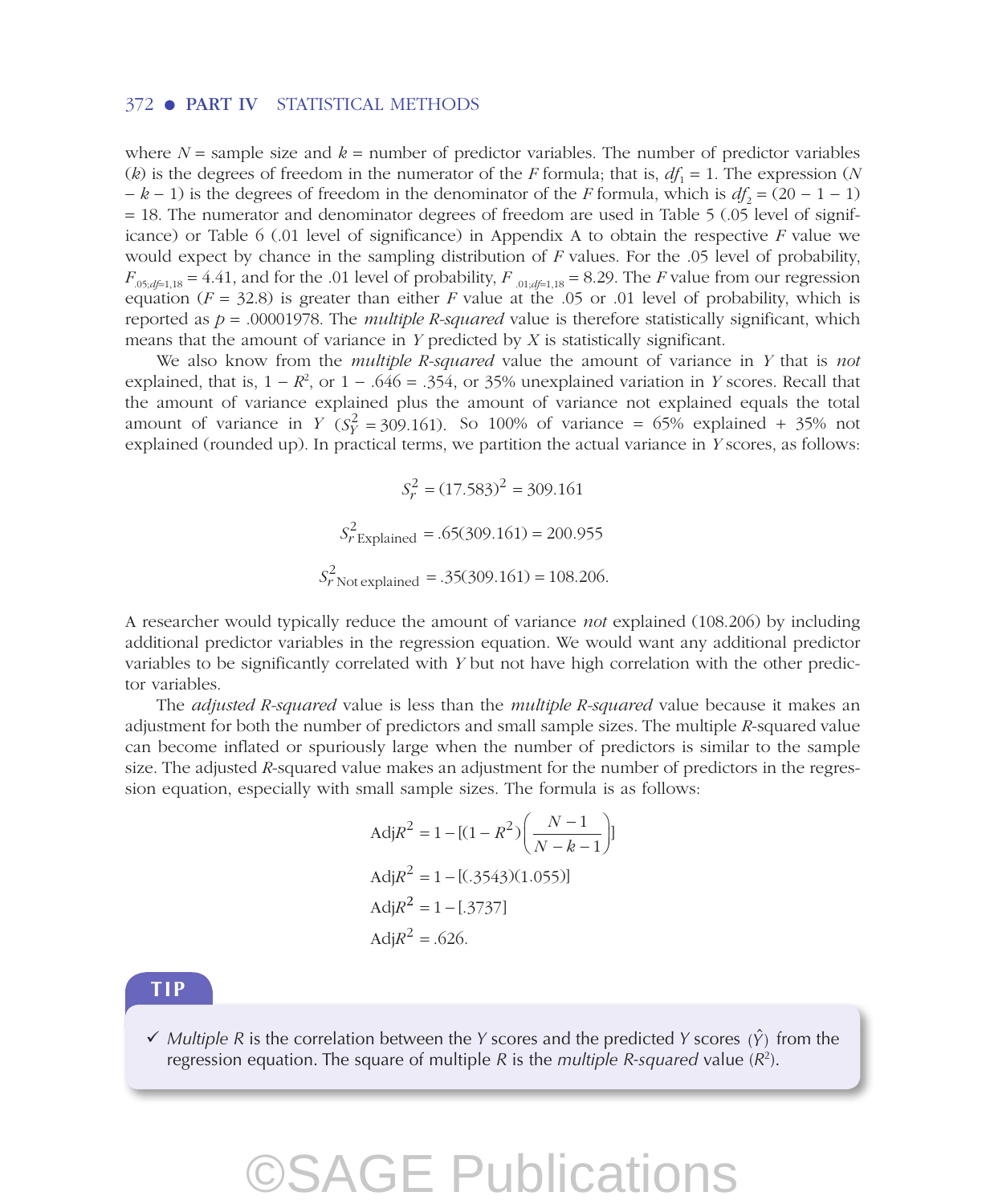where  $N =$  sample size and  $k =$  number of predictor variables. The number of predictor variables (*k*) is the degrees of freedom in the numerator of the *F* formula; that is,  $df_1 = 1$ . The expression (*N*  $-k-1$ ) is the degrees of freedom in the denominator of the *F* formula, which is  $df_2 = (20 - 1 - 1)$ = 18. The numerator and denominator degrees of freedom are used in Table 5 (.05 level of significance) or Table 6 (.01 level of significance) in Appendix A to obtain the respective *F* value we would expect by chance in the sampling distribution of *F* values. For the .05 level of probability,  $F_{0.05; d/=1,18} = 4.41$ , and for the .01 level of probability,  $F_{0.01; d/=1,18} = 8.29$ . The *F* value from our regression equation  $(F = 32.8)$  is greater than either *F* value at the .05 or .01 level of probability, which is reported as *p* = .00001978. The *multiple R-squared* value is therefore statistically significant, which means that the amount of variance in *Y* predicted by *X* is statistically significant.

We also know from the *multiple R-squared* value the amount of variance in *Y* that is *not*  explained, that is,  $1 - R^2$ , or  $1 - .646 = .354$ , or 35% unexplained variation in *Y* scores. Recall that the amount of variance explained plus the amount of variance not explained equals the total amount of variance in *Y* ( $S_Y^2$  = 309.161). So 100% of variance = 65% explained + 35% not explained (rounded up). In practical terms, we partition the actual variance in *Y* scores, as follows:

$$
S_r^2 = (17.583)^2 = 309.161
$$
  

$$
S_r^2
$$
Explained = .65(309.161) = 200.955  

$$
S_r^2
$$
  
Not explained = .35(309.161) = 108.206.

A researcher would typically reduce the amount of variance *not* explained (108.206) by including additional predictor variables in the regression equation. We would want any additional predictor variables to be significantly correlated with *Y* but not have high correlation with the other predictor variables.

The *adjusted R-squared* value is less than the *multiple R-squared* value because it makes an adjustment for both the number of predictors and small sample sizes. The multiple *R*-squared value can become inflated or spuriously large when the number of predictors is similar to the sample size. The adjusted *R*-squared value makes an adjustment for the number of predictors in the regression equation, especially with small sample sizes. The formula is as follows:

$$
Adj R2 = 1 - [(1 - R2) \left( \frac{N - 1}{N - k - 1} \right)]
$$
  
\n
$$
Adj R2 = 1 - [(.3543)(1.055)]
$$
  
\n
$$
Adj R2 = 1 - [.3737]
$$
  
\n
$$
Adj R2 = .626.
$$

#### **TIP**

 $\checkmark$  *Multiple R* is the correlation between the *Y* scores and the predicted *Y* scores ( $\hat{\gamma}$ ) from the regression equation. The square of multiple *R* is the *multiple R-squared* value (*R*<sup>2</sup> ).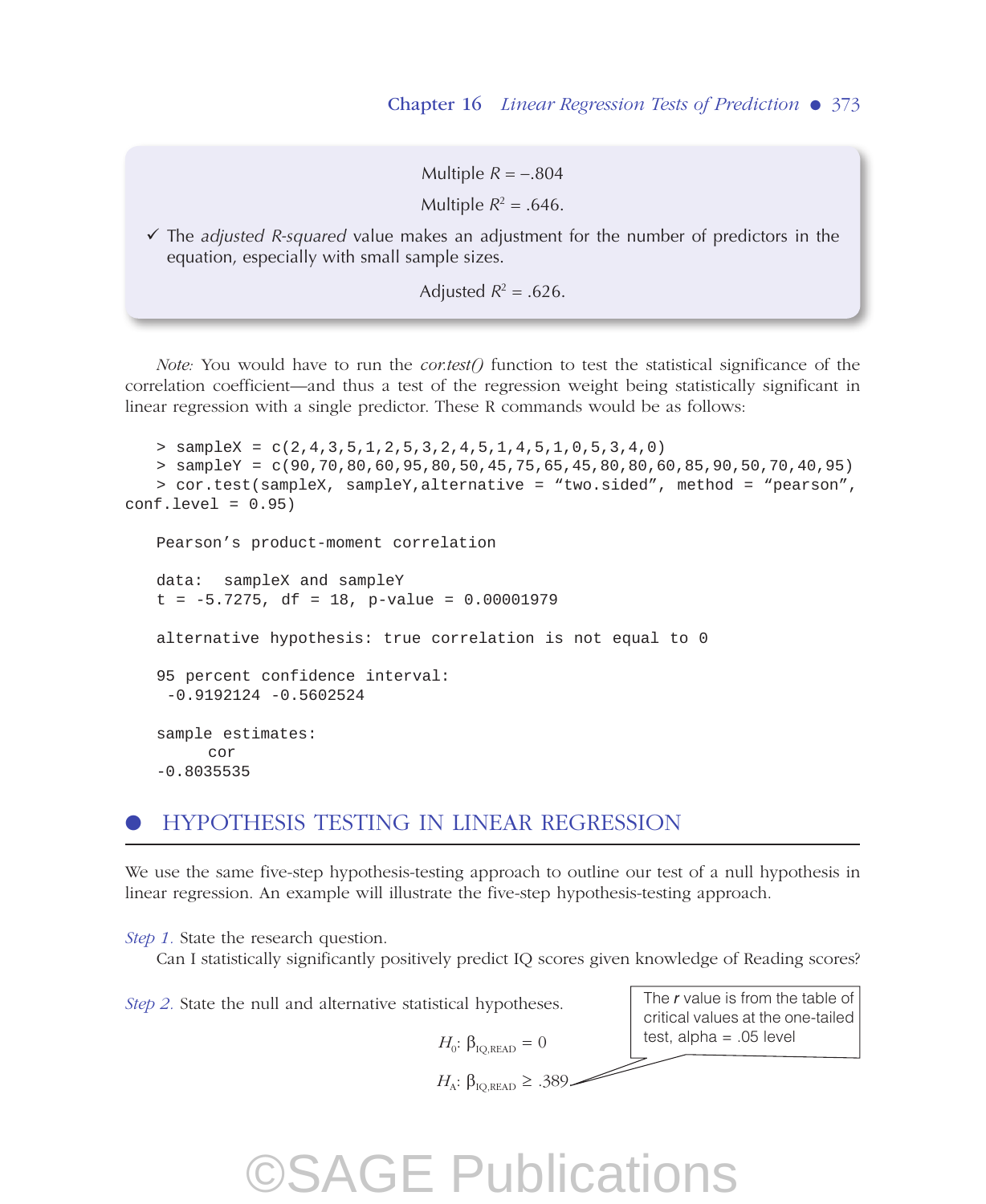Multiple  $R = -.804$ Multiple  $R^2 = .646$ .

 $\checkmark$  The *adjusted R-squared* value makes an adjustment for the number of predictors in the equation, especially with small sample sizes.

Adjusted  $R^2 = .626$ .

*Note:* You would have to run the *cor.test()* function to test the statistical significance of the correlation coefficient—and thus a test of the regression weight being statistically significant in linear regression with a single predictor. These R commands would be as follows:

```
> sampleX = c(2, 4, 3, 5, 1, 2, 5, 3, 2, 4, 5, 1, 4, 5, 1, 0, 5, 3, 4, 0)> sampleY = c(90,70,80,60,95,80,50,45,75,65,45,80,80,60,85,90,50,70,40,95)
   > cor.test(sampleX, sampleY,alternative = "two.sided", method = "pearson", 
conf.level = 0.95Pearson's product-moment correlation
   data: sampleX and sampleY
   t = -5.7275, df = 18, p-value = 0.00001979
   alternative hypothesis: true correlation is not equal to 0
   95 percent confidence interval:
    -0.9192124 - 0.5602524sample estimates:
          cor
   -0.8035535
```
### ● HYPOTHESIS TESTING IN LINEAR REGRESSION

We use the same five-step hypothesis-testing approach to outline our test of a null hypothesis in linear regression. An example will illustrate the five-step hypothesis-testing approach.

*Step 1.* State the research question.

Can I statistically significantly positively predict IQ scores given knowledge of Reading scores?

*Step 2.* State the null and alternative statistical hypotheses.

 $H_0$ : β<sub>IO READ</sub> = 0

 $H_A$ : β<sub>IO.READ</sub> ≥ .389

The *r* value is from the table of critical values at the one-tailed test, alpha = .05 level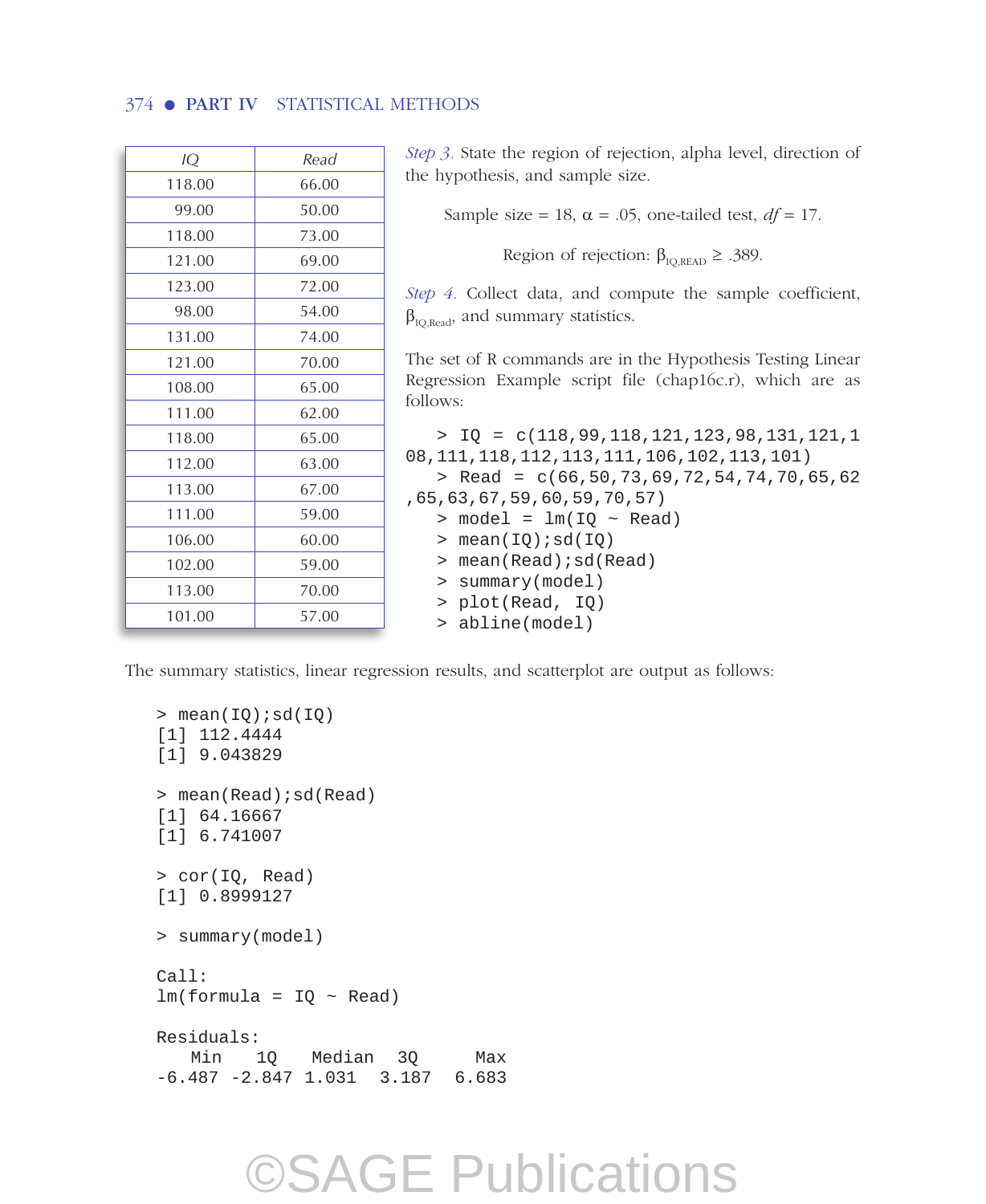| IQ     | Read  |
|--------|-------|
| 118.00 | 66.00 |
| 99.00  | 50.00 |
| 118.00 | 73.00 |
| 121.00 | 69.00 |
| 123.00 | 72.00 |
| 98.00  | 54.00 |
| 131.00 | 74.00 |
| 121.00 | 70.00 |
| 108.00 | 65.00 |
| 111.00 | 62.00 |
| 118.00 | 65.00 |
| 112.00 | 63.00 |
| 113.00 | 67.00 |
| 111.00 | 59.00 |
| 106.00 | 60.00 |
| 102.00 | 59.00 |
| 113.00 | 70.00 |
| 101.00 | 57.00 |

*Step 3.* State the region of rejection, alpha level, direction of the hypothesis, and sample size.

Sample size = 18,  $\alpha$  = .05, one-tailed test,  $df = 17$ .

Region of rejection:  $\beta_{\text{IO,READ}} \geq .389$ .

*Step 4.* Collect data, and compute the sample coefficient,  $\beta_{\text{IO,Read}}$ , and summary statistics.

The set of R commands are in the Hypothesis Testing Linear Regression Example script file (chap16c.r), which are as follows:

```
> IQ = c(118,99,118,121,123,98,131,121,1
08,111,118,112,113,111,106,102,113,101)
   > Read = c(66, 50, 73, 69, 72, 54, 74, 70, 65, 62),65,63,67,59,60,59,70,57)
   > model = lm(IQ ~ ~ Read)
   > mean(IQ);sd(IQ)
   > mean(Read); sd(Read)
   > summary(model)
   > plot(Read, IQ)
   > abline(model)
```
The summary statistics, linear regression results, and scatterplot are output as follows:

```
> mean(IQ);sd(IQ)
[1] 112.4444
[1] 9.043829
> mean(Read); sd(Read)
[1] 64.16667
[1] 6.741007
> cor(IQ, Read)
[1] 0.8999127
> summary(model)
Call:
lm(formula = IO ~ Read)Residuals:<br>Min 10
               Min 1Q Median 3Q Max
-6.487 -2.847 1.031 3.187 6.683
```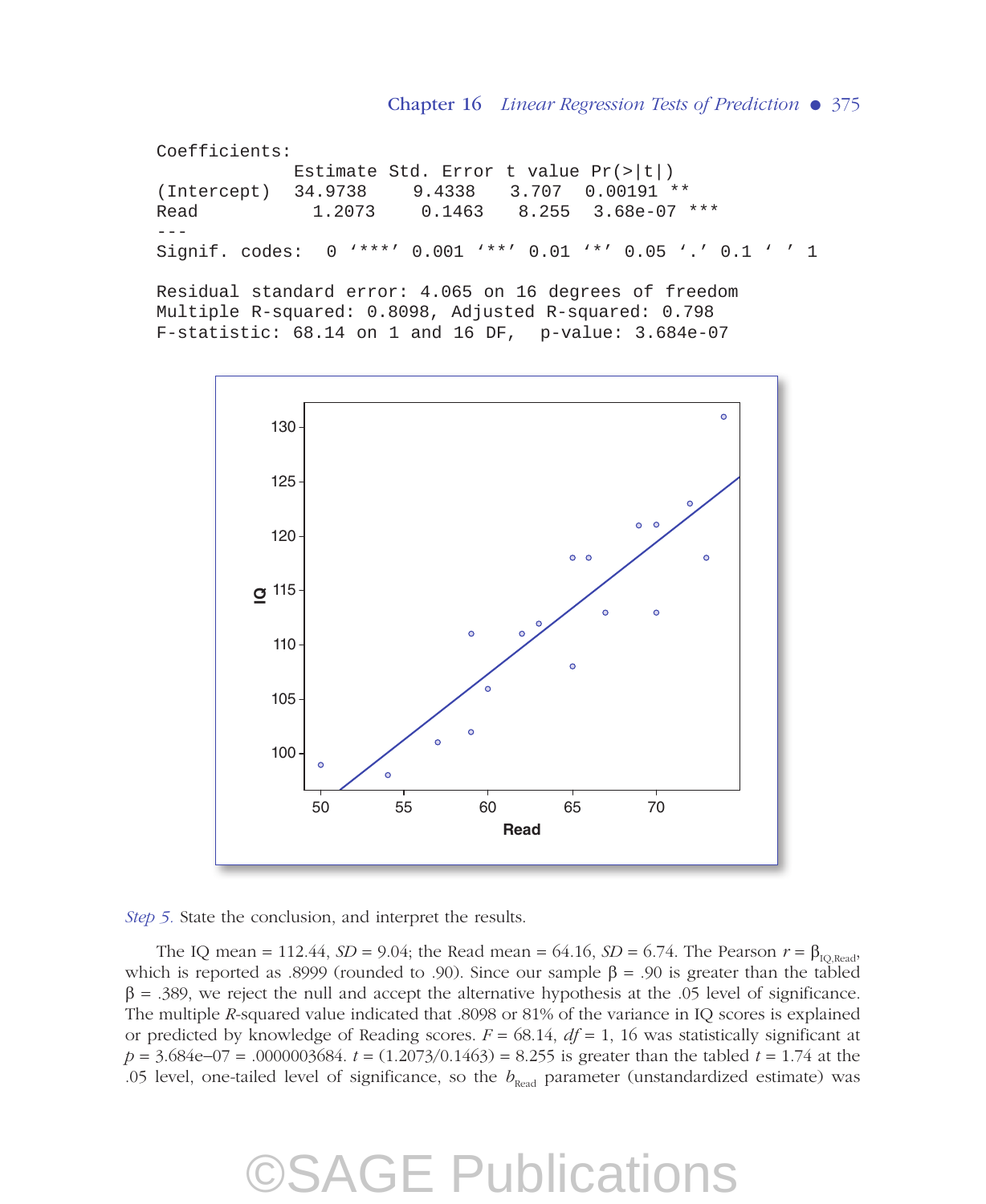Coefficients: Estimate Std. Error t value Pr(>|t|) (Intercept) 34.9738 9.4338 3.707 0.00191 \*\* Read 1.2073 0.1463 8.255 3.68e-07 \*\*\* --- Signif. codes: 0 '\*\*\*' 0.001 '\*\*' 0.01 '\*' 0.05 '.' 0.1 ' ' 1

Residual standard error: 4.065 on 16 degrees of freedom Multiple R-squared: 0.8098, Adjusted R-squared: 0.798 F-statistic: 68.14 on 1 and 16 DF, p-value: 3.684e-07





The IQ mean = 112.44,  $SD = 9.04$ ; the Read mean = 64.16,  $SD = 6.74$ . The Pearson  $r = \beta_{\text{IO,Read}}$ which is reported as .8999 (rounded to .90). Since our sample  $\beta$  = .90 is greater than the tabled  $\beta$  = .389, we reject the null and accept the alternative hypothesis at the .05 level of significance. The multiple *R*-squared value indicated that .8098 or 81% of the variance in IQ scores is explained or predicted by knowledge of Reading scores.  $F = 68.14$ ,  $df = 1$ , 16 was statistically significant at  $p = 3.684e^{-0.07} = 0.0000003684$ .  $t = (1.2073/0.1463) = 8.255$  is greater than the tabled  $t = 1.74$  at the .05 level, one-tailed level of significance, so the  $b_{\text{Read}}$  parameter (unstandardized estimate) was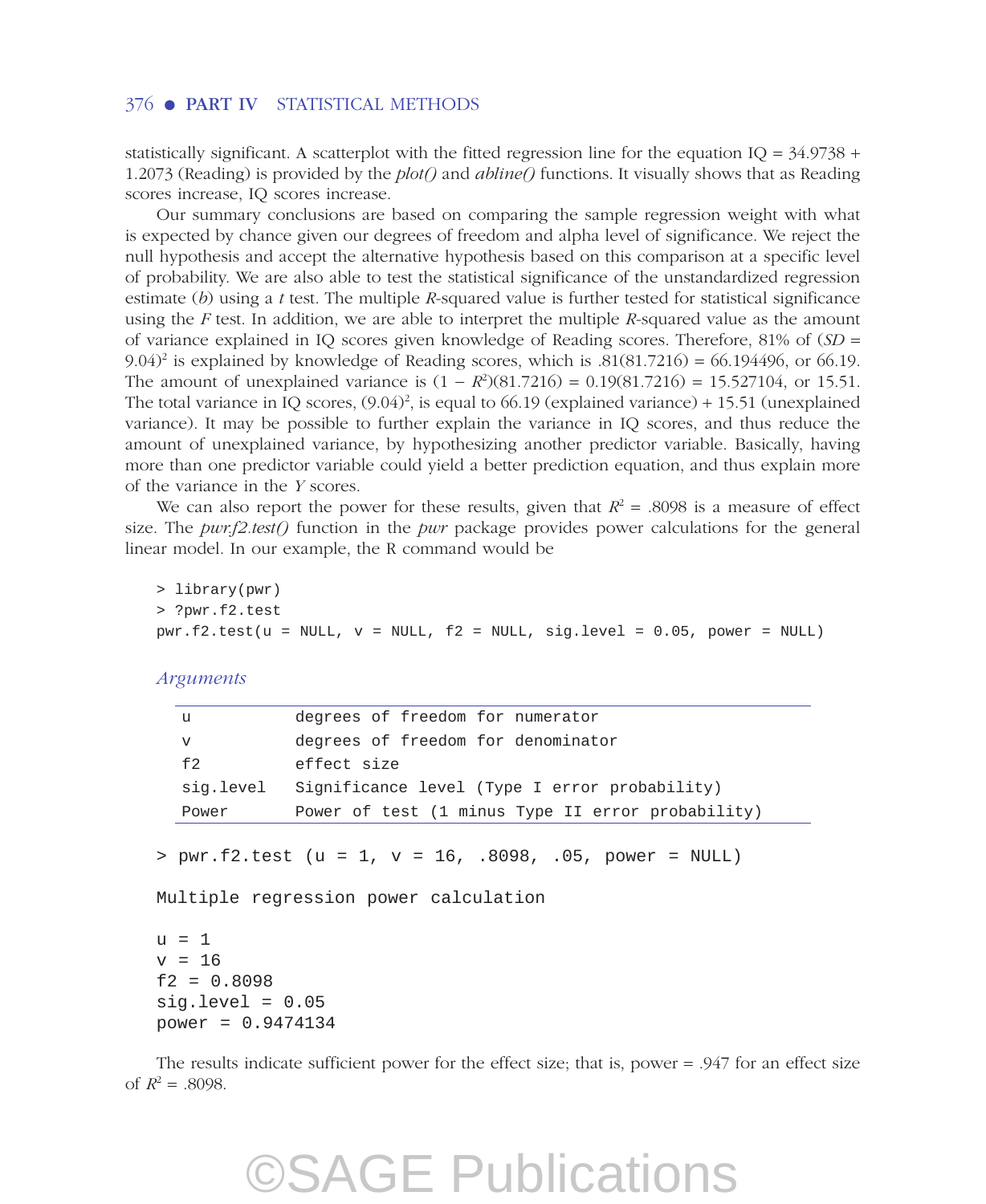statistically significant. A scatterplot with the fitted regression line for the equation IQ =  $34.9738 +$ 1.2073 (Reading) is provided by the *plot()* and *abline()* functions. It visually shows that as Reading scores increase, IQ scores increase.

Our summary conclusions are based on comparing the sample regression weight with what is expected by chance given our degrees of freedom and alpha level of significance. We reject the null hypothesis and accept the alternative hypothesis based on this comparison at a specific level of probability. We are also able to test the statistical significance of the unstandardized regression estimate (*b*) using a *t* test. The multiple *R*-squared value is further tested for statistical significance using the *F* test. In addition, we are able to interpret the multiple *R*-squared value as the amount of variance explained in IQ scores given knowledge of Reading scores. Therefore, 81% of (*SD* = 9.04 $^2$  is explained by knowledge of Reading scores, which is .81(81.7216) = 66.194496, or 66.19. The amount of unexplained variance is  $(1 - R^2)(81.7216) = 0.19(81.7216) = 15.527104$ , or 15.51. The total variance in IQ scores,  $(9.04)^2$ , is equal to 66.19 (explained variance) + 15.51 (unexplained variance). It may be possible to further explain the variance in IQ scores, and thus reduce the amount of unexplained variance, by hypothesizing another predictor variable. Basically, having more than one predictor variable could yield a better prediction equation, and thus explain more of the variance in the *Y* scores.

We can also report the power for these results, given that  $R^2 = .8098$  is a measure of effect size. The *pwr.f2.test()* function in the *pwr* package provides power calculations for the general linear model. In our example, the R command would be

```
> library(pwr)
> ?pwr.f2.test
pwr.f2.test(u = NULL, v = NULL, f2 = NULL, sig.level = 0.05, power = NULL)
```
#### *Arguments*

 $11$ 

| u                   | degrees of freedom for numerator                                                                 |  |  |  |
|---------------------|--------------------------------------------------------------------------------------------------|--|--|--|
| $\mathbf v$         | degrees of freedom for denominator                                                               |  |  |  |
| £2                  | effect size                                                                                      |  |  |  |
|                     | sig.level Significance level (Type I error probability)                                          |  |  |  |
| Power               | Power of test (1 minus Type II error probability)                                                |  |  |  |
|                     | > pwr.f2.test (u = 1, v = 16, .8098, .05, power = NULL)<br>Multiple regression power calculation |  |  |  |
| 11 = 1              |                                                                                                  |  |  |  |
| $v = 16$            |                                                                                                  |  |  |  |
| $f2 = 0.8098$       |                                                                                                  |  |  |  |
| $sig. level = 0.05$ |                                                                                                  |  |  |  |
| power = 0.9474134   |                                                                                                  |  |  |  |
|                     |                                                                                                  |  |  |  |

The results indicate sufficient power for the effect size; that is, power = .947 for an effect size of  $R^2 = .8098$ .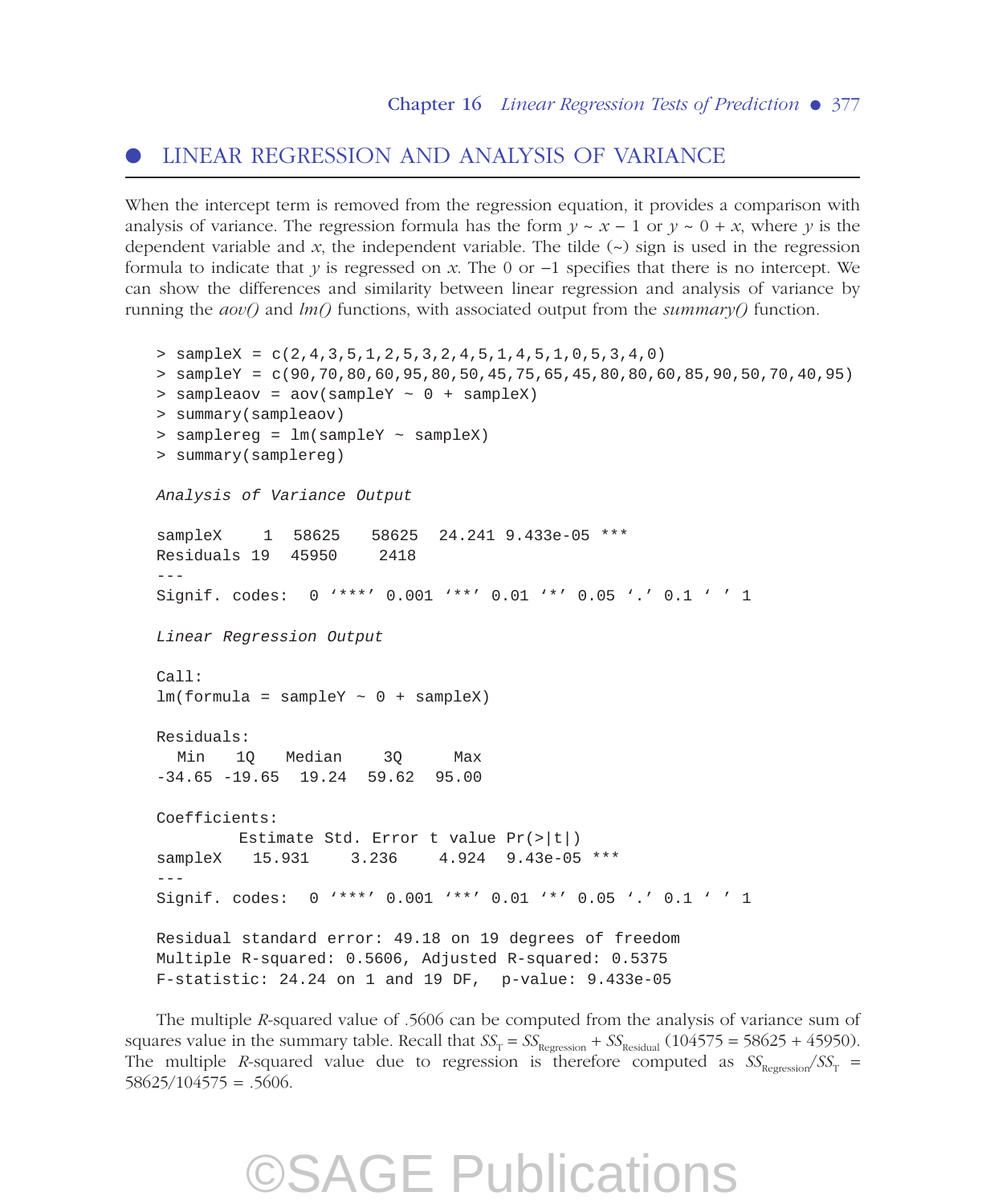#### ● LINEAR REGRESSION AND ANALYSIS OF VARIANCE

When the intercept term is removed from the regression equation, it provides a comparison with analysis of variance. The regression formula has the form  $y \sim x - 1$  or  $y \sim 0 + x$ , where *y* is the dependent variable and  $x$ , the independent variable. The tilde  $(\sim)$  sign is used in the regression formula to indicate that *y* is regressed on *x*. The 0 or −1 specifies that there is no intercept. We can show the differences and similarity between linear regression and analysis of variance by running the *aov()* and *lm()* functions, with associated output from the *summary()* function.

```
> sampleX = c(2, 4, 3, 5, 1, 2, 5, 3, 2, 4, 5, 1, 4, 5, 1, 0, 5, 3, 4, 0)> sampleY = c(90,70,80,60,95,80,50,45,75,65,45,80,80,60,85,90,50,70,40,95)
> sampleaov = aov(sampleY \sim 0 + sampleX)
> summary(sampleaov)
> samplereg = lm(sampleY ~ sampleX)
> summary(samplereg)
Analysis of Variance Output
sampleX 1 58625 58625 24.241 9.433e-05 ***
Residuals 19 45950 2418
---
Signif. codes: 0 '***' 0.001 '**' 0.01 '*' 0.05 '.' 0.1 ' ' 1 
Linear Regression Output
Call:
lm(formula = sampleY ~ ~ 0 + sampleX)Residuals:
   Min 1Q Median 3Q Max
-34.65 -19.65 19.24 59.62 95.00
Coefficients:
        Estimate Std. Error t value Pr(>|t|) 
sampleX 15.931 3.236 4.924 9.43e-05 ***
---
Signif. codes: 0 '***' 0.001 '**' 0.01 '*' 0.05 '.' 0.1 ' ' 1 
Residual standard error: 49.18 on 19 degrees of freedom
Multiple R-squared: 0.5606, Adjusted R-squared: 0.5375
F-statistic: 24.24 on 1 and 19 DF, p-value: 9.433e-05
```
The multiple *R*-squared value of .5606 can be computed from the analysis of variance sum of squares value in the summary table. Recall that  $SS_T = SS_{\text{Regression}} + SS_{\text{Residual}}$  (104575 = 58625 + 45950). The multiple *R*-squared value due to regression is therefore computed as  $SS_{\text{Regression}}/SS_T$  =  $58625/104575 = .5606$ .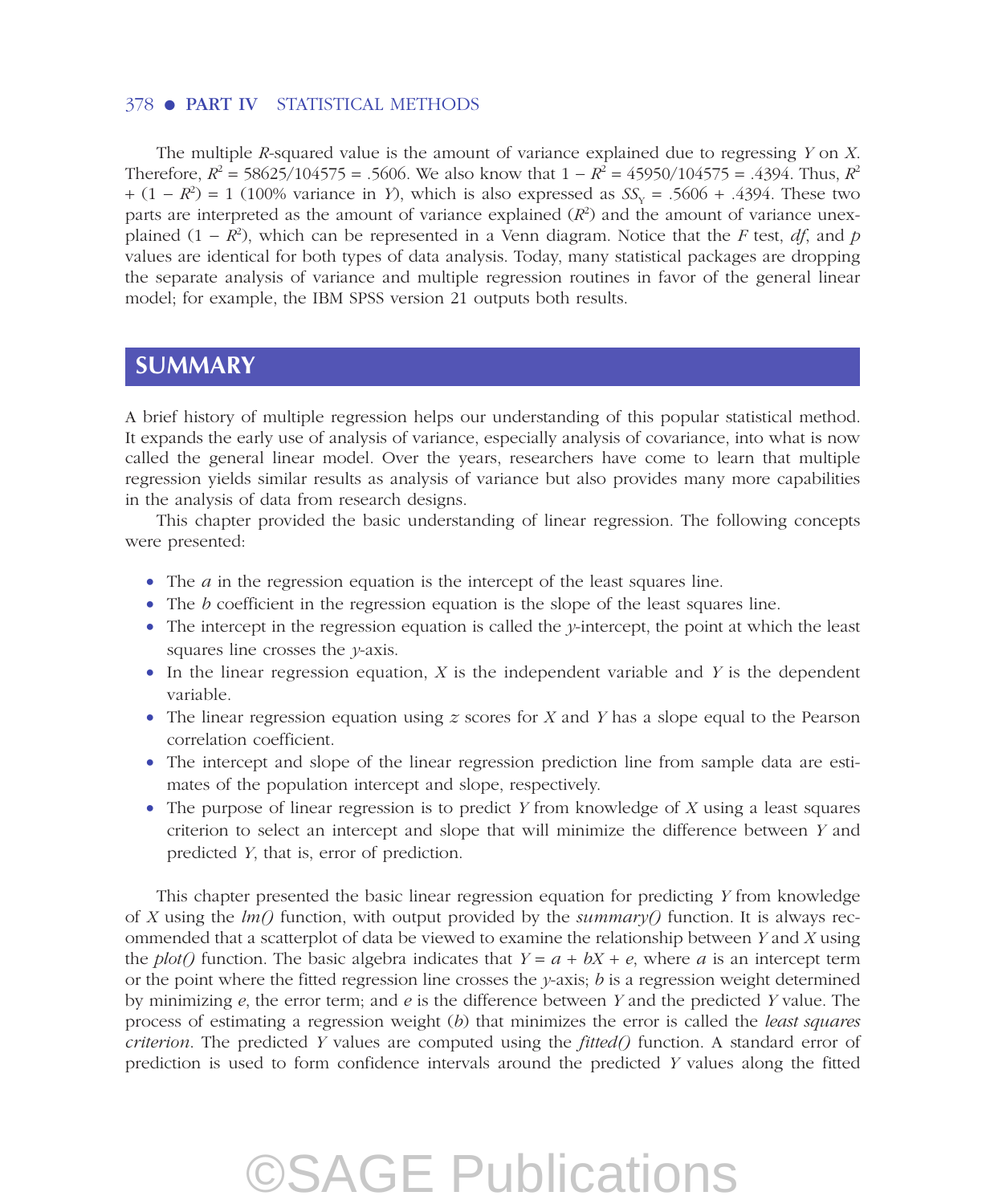The multiple *R*-squared value is the amount of variance explained due to regressing *Y* on *X*. Therefore,  $R^2 = 58625/104575 = .5606$ . We also know that  $1 - R^2 = 45950/104575 = .4394$ . Thus,  $R^2$  $+(1 - R^2) = 1$  (100% variance in *Y*), which is also expressed as  $SS_y = .5606 + .4394$ . These two parts are interpreted as the amount of variance explained  $(R^2)$  and the amount of variance unexplained  $(1 - R^2)$ , which can be represented in a Venn diagram. Notice that the *F* test, *df*, and *p* values are identical for both types of data analysis. Today, many statistical packages are dropping the separate analysis of variance and multiple regression routines in favor of the general linear model; for example, the IBM SPSS version 21 outputs both results.

### **SUMMARY**

A brief history of multiple regression helps our understanding of this popular statistical method. It expands the early use of analysis of variance, especially analysis of covariance, into what is now called the general linear model. Over the years, researchers have come to learn that multiple regression yields similar results as analysis of variance but also provides many more capabilities in the analysis of data from research designs.

This chapter provided the basic understanding of linear regression. The following concepts were presented:

- The *a* in the regression equation is the intercept of the least squares line.
- The *b* coefficient in the regression equation is the slope of the least squares line.
- The intercept in the regression equation is called the *y*-intercept, the point at which the least squares line crosses the *y*-axis.
- In the linear regression equation, *X* is the independent variable and *Y* is the dependent variable.
- The linear regression equation using *z* scores for *X* and *Y* has a slope equal to the Pearson correlation coefficient.
- The intercept and slope of the linear regression prediction line from sample data are estimates of the population intercept and slope, respectively.
- The purpose of linear regression is to predict *Y* from knowledge of *X* using a least squares criterion to select an intercept and slope that will minimize the difference between *Y* and predicted *Y*, that is, error of prediction.

This chapter presented the basic linear regression equation for predicting *Y* from knowledge of *X* using the *lm()* function, with output provided by the *summary()* function. It is always recommended that a scatterplot of data be viewed to examine the relationship between *Y* and *X* using the *plot()* function. The basic algebra indicates that  $Y = a + bX + e$ , where *a* is an intercept term or the point where the fitted regression line crosses the  $y$ -axis;  $b$  is a regression weight determined by minimizing *e*, the error term; and *e* is the difference between *Y* and the predicted *Y* value. The process of estimating a regression weight (*b*) that minimizes the error is called the *least squares criterion*. The predicted *Y* values are computed using the *fitted()* function. A standard error of prediction is used to form confidence intervals around the predicted *Y* values along the fitted

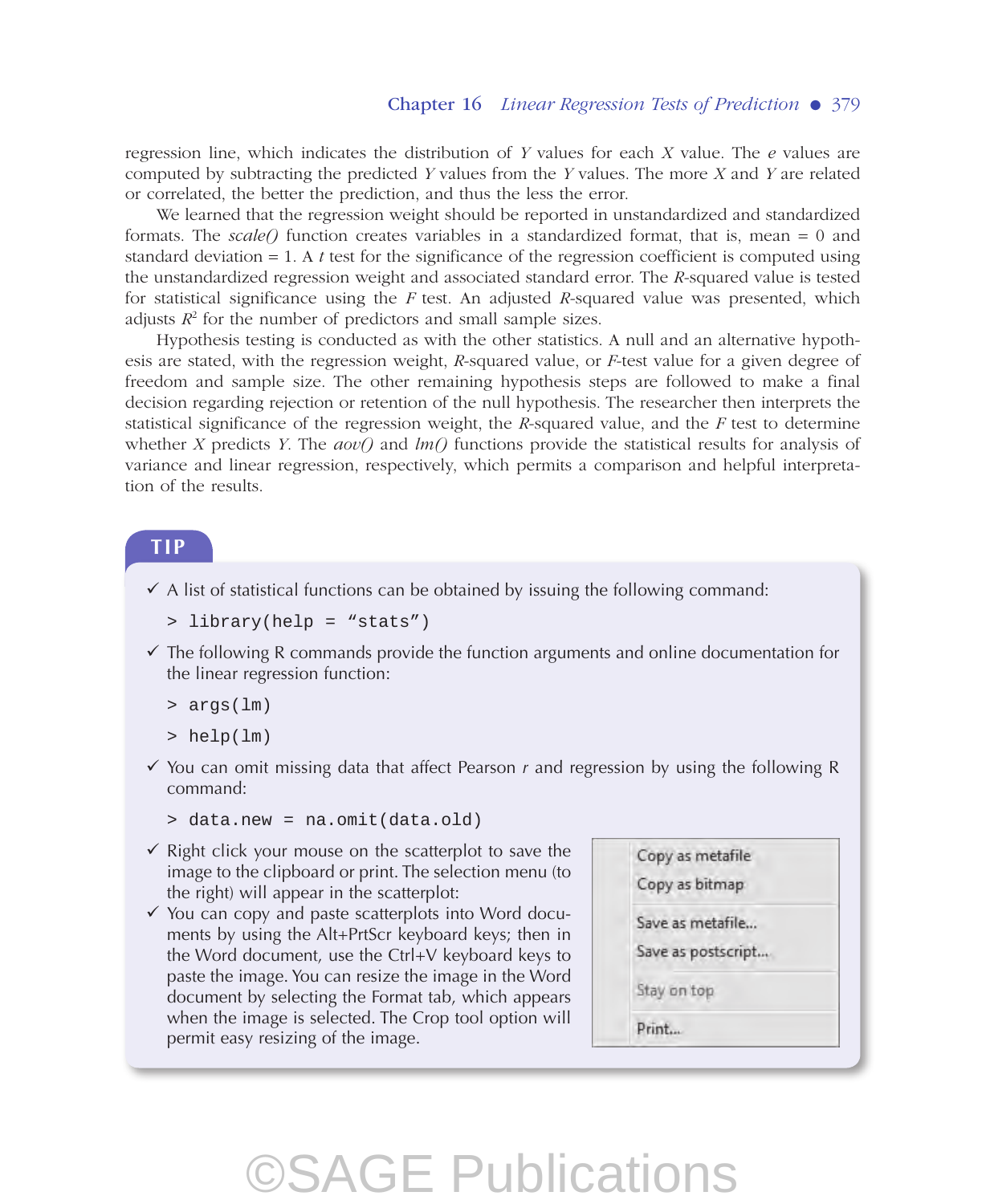regression line, which indicates the distribution of *Y* values for each *X* value. The *e* values are computed by subtracting the predicted *Y* values from the *Y* values. The more *X* and *Y* are related or correlated, the better the prediction, and thus the less the error.

We learned that the regression weight should be reported in unstandardized and standardized formats. The *scale()* function creates variables in a standardized format, that is, mean = 0 and standard deviation  $= 1$ . A *t* test for the significance of the regression coefficient is computed using the unstandardized regression weight and associated standard error. The *R*-squared value is tested for statistical significance using the *F* test. An adjusted *R*-squared value was presented, which adjusts  $R<sup>2</sup>$  for the number of predictors and small sample sizes.

Hypothesis testing is conducted as with the other statistics. A null and an alternative hypothesis are stated, with the regression weight, *R*-squared value, or *F*-test value for a given degree of freedom and sample size. The other remaining hypothesis steps are followed to make a final decision regarding rejection or retention of the null hypothesis. The researcher then interprets the statistical significance of the regression weight, the *R*-squared value, and the *F* test to determine whether *X* predicts *Y*. The *aov()* and *lm()* functions provide the statistical results for analysis of variance and linear regression, respectively, which permits a comparison and helpful interpretation of the results.

#### **TIP**

 $\checkmark$  A list of statistical functions can be obtained by issuing the following command:

```
> library(help = "stats")
```
- $\checkmark$  The following R commands provide the function arguments and online documentation for the linear regression function:
	- > args(lm)
	- > help(lm)
- $\checkmark$  You can omit missing data that affect Pearson *r* and regression by using the following R command:

> data.new = na.omit(data.old)

- $\checkmark$  Right click your mouse on the scatterplot to save the image to the clipboard or print. The selection menu (to the right) will appear in the scatterplot:
- $\checkmark$  You can copy and paste scatterplots into Word documents by using the Alt+PrtScr keyboard keys; then in the Word document, use the Ctrl+V keyboard keys to paste the image. You can resize the image in the Word document by selecting the Format tab, which appears when the image is selected. The Crop tool option will permit easy resizing of the image.

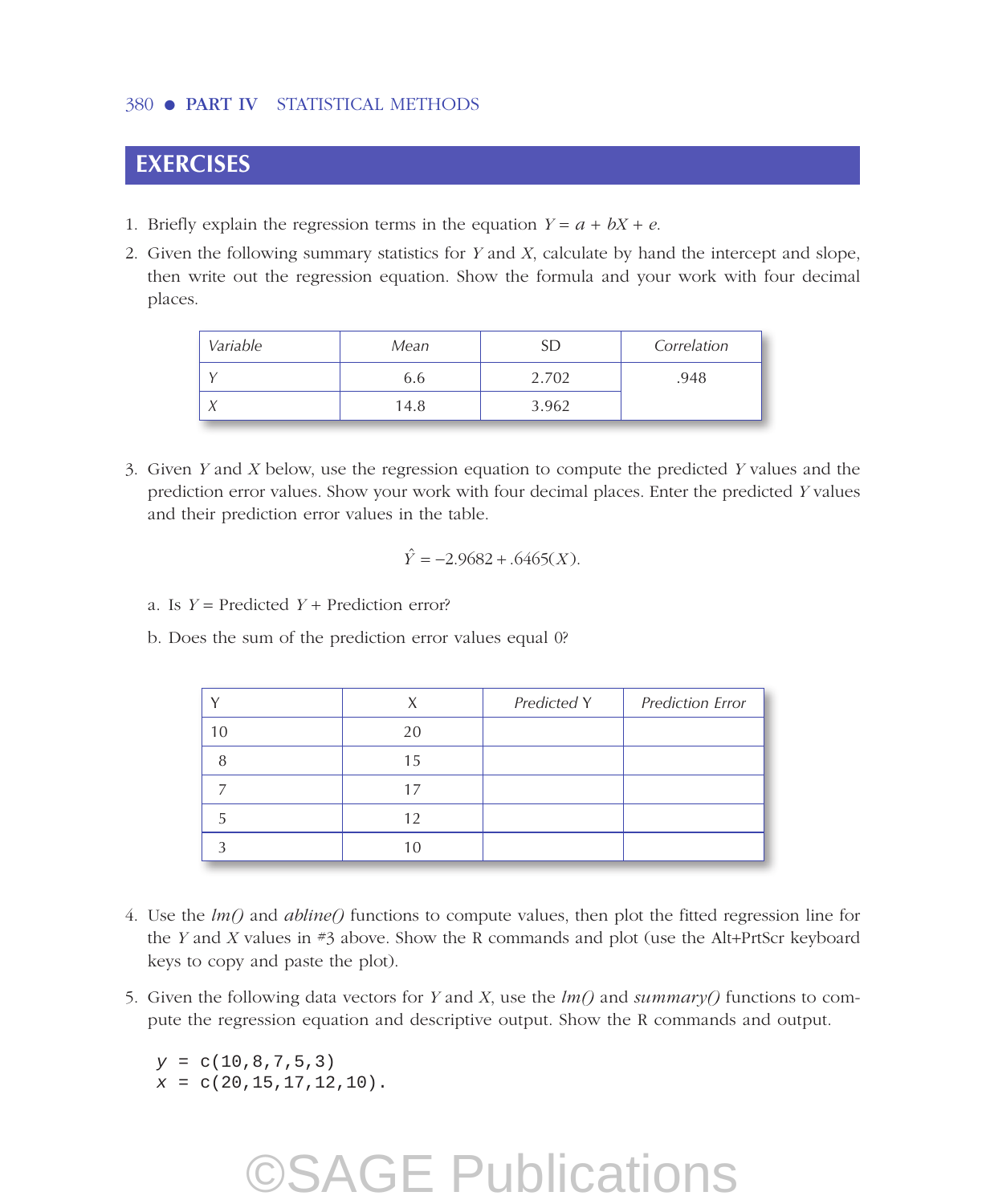### **EXERCISES**

- 1. Briefly explain the regression terms in the equation  $Y = a + bX + e$ .
- 2. Given the following summary statistics for *Y* and *X*, calculate by hand the intercept and slope, then write out the regression equation. Show the formula and your work with four decimal places.

| Variable | Mean | SD    | Correlation |
|----------|------|-------|-------------|
|          | 6.6  | 2.702 | .948        |
|          | 14.8 | 3.962 |             |

3. Given *Y* and *X* below, use the regression equation to compute the predicted *Y* values and the prediction error values. Show your work with four decimal places. Enter the predicted *Y* values and their prediction error values in the table.

$$
\hat{Y} = -2.9682 + .6465(X).
$$

- a. Is *Y* = Predicted *Y* + Prediction error?
- b. Does the sum of the prediction error values equal 0?

|    |    | Predicted Y | <b>Prediction Error</b> |
|----|----|-------------|-------------------------|
| 10 | 20 |             |                         |
|    | 15 |             |                         |
|    | 17 |             |                         |
|    | 12 |             |                         |
|    |    |             |                         |

- 4. Use the *lm()* and *abline()* functions to compute values, then plot the fitted regression line for the *Y* and *X* values in  $\#3$  above. Show the R commands and plot (use the Alt+PrtScr keyboard keys to copy and paste the plot).
- 5. Given the following data vectors for *Y* and *X*, use the *lm()* and *summary()* functions to compute the regression equation and descriptive output. Show the R commands and output.

 $y = c(10, 8, 7, 5, 3)$  $x = c(20, 15, 17, 12, 10)$ .